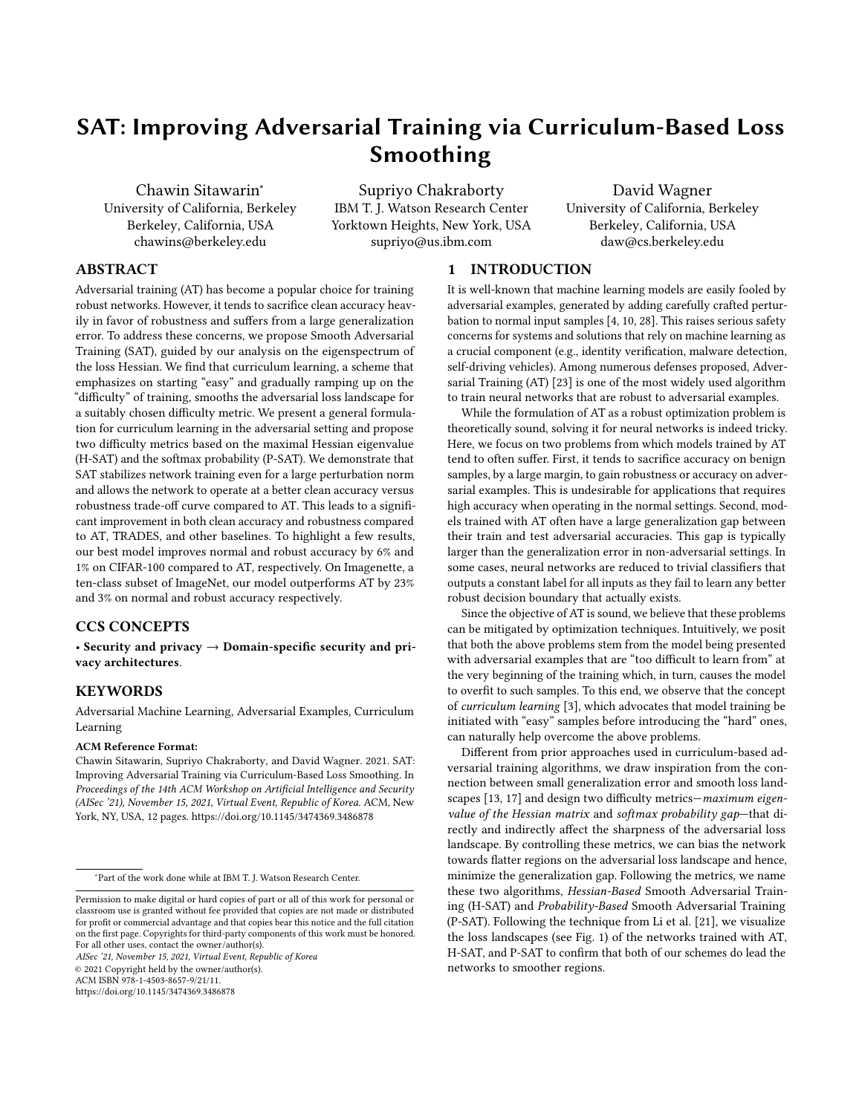# SAT: Improving Adversarial Training via Curriculum-Based Loss Smoothing

Chawin Sitawarin<sup>∗</sup> University of California, Berkeley Berkeley, California, USA chawins@berkeley.edu

Supriyo Chakraborty IBM T. J. Watson Research Center Yorktown Heights, New York, USA supriyo@us.ibm.com

David Wagner University of California, Berkeley Berkeley, California, USA daw@cs.berkeley.edu

# ABSTRACT

Adversarial training (AT) has become a popular choice for training robust networks. However, it tends to sacrifice clean accuracy heavily in favor of robustness and suffers from a large generalization error. To address these concerns, we propose Smooth Adversarial Training (SAT), guided by our analysis on the eigenspectrum of the loss Hessian. We find that curriculum learning, a scheme that emphasizes on starting "easy" and gradually ramping up on the "difficulty" of training, smooths the adversarial loss landscape for a suitably chosen difficulty metric. We present a general formulation for curriculum learning in the adversarial setting and propose two difficulty metrics based on the maximal Hessian eigenvalue (H-SAT) and the softmax probability (P-SAT). We demonstrate that SAT stabilizes network training even for a large perturbation norm and allows the network to operate at a better clean accuracy versus robustness trade-off curve compared to AT. This leads to a significant improvement in both clean accuracy and robustness compared to AT, TRADES, and other baselines. To highlight a few results, our best model improves normal and robust accuracy by 6% and 1% on CIFAR-100 compared to AT, respectively. On Imagenette, a ten-class subset of ImageNet, our model outperforms AT by 23% and 3% on normal and robust accuracy respectively.

#### CCS CONCEPTS

• Security and privacy  $\rightarrow$  Domain-specific security and privacy architectures.

# **KEYWORDS**

Adversarial Machine Learning, Adversarial Examples, Curriculum Learning

#### ACM Reference Format:

Chawin Sitawarin, Supriyo Chakraborty, and David Wagner. 2021. SAT: Improving Adversarial Training via Curriculum-Based Loss Smoothing. In Proceedings of the 14th ACM Workshop on Artificial Intelligence and Security (AISec '21), November 15, 2021, Virtual Event, Republic of Korea. ACM, New York, NY, USA, [12](#page-11-0) pages.<https://doi.org/10.1145/3474369.3486878>

AISec '21, November 15, 2021, Virtual Event, Republic of Korea

© 2021 Copyright held by the owner/author(s).

ACM ISBN 978-1-4503-8657-9/21/11.

<https://doi.org/10.1145/3474369.3486878>

#### 1 INTRODUCTION

It is well-known that machine learning models are easily fooled by adversarial examples, generated by adding carefully crafted perturbation to normal input samples [4, 10, 28]. This raises serious safety concerns for systems and solutions that rely on machine learning as a crucial component (e.g., identity verification, malware detection, self-driving vehicles). Among numerous defenses proposed, Adversarial Training (AT) [23] is one of the most widely used algorithm to train neural networks that are robust to adversarial examples.

While the formulation of AT as a robust optimization problem is theoretically sound, solving it for neural networks is indeed tricky. Here, we focus on two problems from which models trained by AT tend to often suffer. First, it tends to sacrifice accuracy on benign samples, by a large margin, to gain robustness or accuracy on adversarial examples. This is undesirable for applications that requires high accuracy when operating in the normal settings. Second, models trained with AT often have a large generalization gap between their train and test adversarial accuracies. This gap is typically larger than the generalization error in non-adversarial settings. In some cases, neural networks are reduced to trivial classifiers that outputs a constant label for all inputs as they fail to learn any better robust decision boundary that actually exists.

Since the objective of AT is sound, we believe that these problems can be mitigated by optimization techniques. Intuitively, we posit that both the above problems stem from the model being presented with adversarial examples that are "too difficult to learn from" at the very beginning of the training which, in turn, causes the model to overfit to such samples. To this end, we observe that the concept of curriculum learning [3], which advocates that model training be initiated with "easy" samples before introducing the "hard" ones, can naturally help overcome the above problems.

Different from prior approaches used in curriculum-based adversarial training algorithms, we draw inspiration from the connection between small generalization error and smooth loss landscapes [13, 17] and design two difficulty metrics—maximum eigenvalue of the Hessian matrix and softmax probability gap-that directly and indirectly affect the sharpness of the adversarial loss landscape. By controlling these metrics, we can bias the network towards flatter regions on the adversarial loss landscape and hence, minimize the generalization gap. Following the metrics, we name these two algorithms, Hessian-Based Smooth Adversarial Training (H-SAT) and Probability-Based Smooth Adversarial Training (P-SAT). Following the technique from Li et al. [21], we visualize the loss landscapes (see Fig. 1) of the networks trained with AT, H-SAT, and P-SAT to confirm that both of our schemes do lead the networks to smoother regions.

<sup>∗</sup>Part of the work done while at IBM T. J. Watson Research Center.

Permission to make digital or hard copies of part or all of this work for personal or classroom use is granted without fee provided that copies are not made or distributed for profit or commercial advantage and that copies bear this notice and the full citation on the first page. Copyrights for third-party components of this work must be honored. For all other uses, contact the owner/author(s).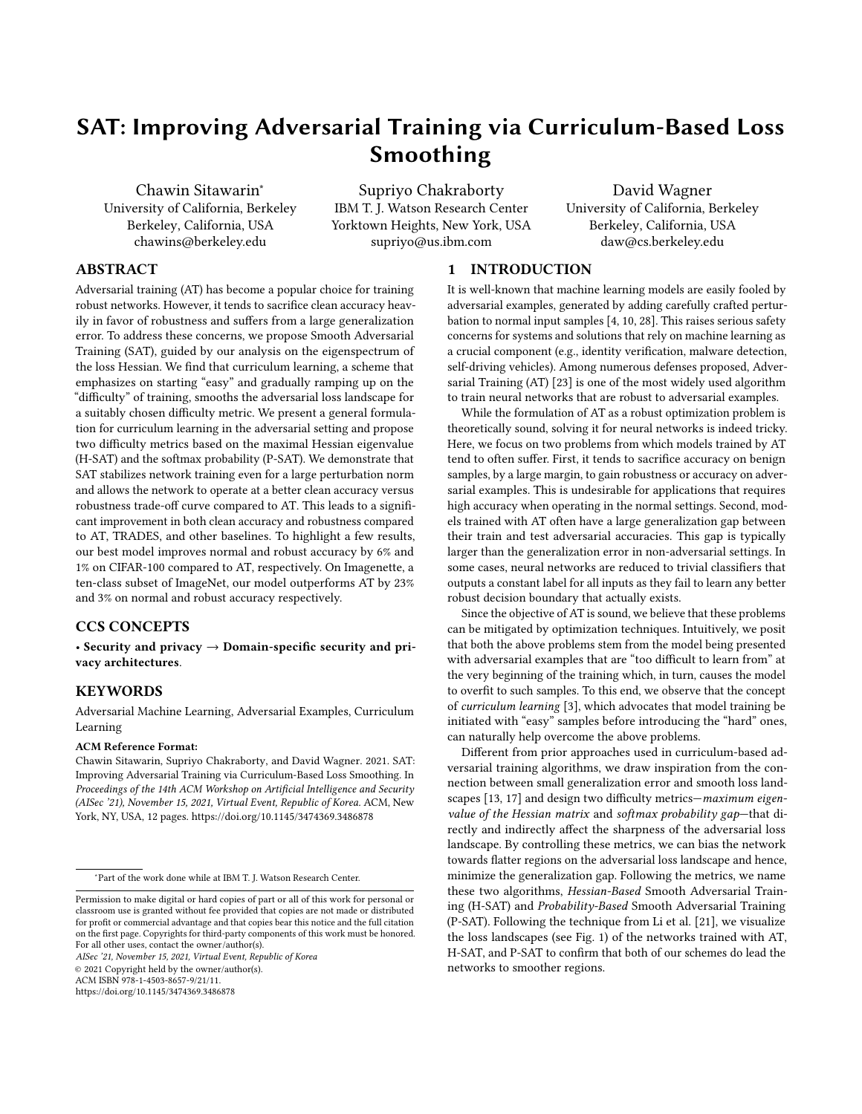(a) Adversarial Training (AT) (b) H-SAT (ours) (c) P-SAT (ours)

Figure 1: Loss landscapes of three PreAct-ResNet-20 models adversarially trained on CIFAR-10 using perturbation  $n = 8$ •255. The x-axis and y-axis represent two orthogonal random directions in the network parameter space. The z-axis represents the adversarial loss computed with the same normalization proposed by Li et al. [21]. Applying our algorithms, (b) H-SAT and (c) P-SAT, results in a much smoother loss landscape than (a) AT.

We make the following contributions. First, we unify the prior works on curriculum-based adversarial training under a single formulation. Second, we derive techniques to quickly approximate the two di culty metrics used in H-SAT and P-SATso that they can be combined with adversarial training e ciently. Finally, we systematically compare our proposed method against the baselines using multiple datasets (MNIST, CIFAR-10, CIFAR-100, Imagenette) and network architectures. Both our proposed schemes outper- computation time  $26,33$  and robustness gain [1, 34]. Others have form state-of-the-art defenses including TRADES [ and other curriculum-inspired algorithms  $$, 7, 30$  in term of robustness while maintaining competitive clean accuracy in most settings. Our which individually compount color accuracy in most countget out.<br>Best model improves normal and robust accuracy by 6% and 1% conservate training (OAT40). This acute as a service that a service that on CIFAR-100 compared to AT, respectively. On Imagenette with  $n = 10-255$  our model outperforms AT by 23% and 3% on normal and robust accuracy respectively.

# 2 BACKGROUND AND RELATED WORK

Adversarial examples dversarial examples are a type of evasion attack against machine learning models generated by adding small perturbations to clean samples,[10, 28]. The desired perturbation, constrained to be within some?-norm ball, is typically formulated as a solution to the following optimization problem:

$$
G^{03E} = G, X \quad \text{where} \quad X = \underset{X: kXk_2 \text{ } n}{\text{argmax}} \quad {}^{1}G, X \backslash {}^{0} \tag{1}
$$

where  $\binom{1}{1}$   $\circ$  :  $R^3$  ! R is the loss function of the target neural network, parameterized by, with respect to its input. The perturbation is bounded in an -norm ball of radiusn and treated as a proxy for imperceptibility of the perturbation. Projected gradient descent (PGD) is a popular technique used to solve Eqn. (1) [23].

Defenses against adversarial examplrea.nutshell, the adversarial training (AT) algorithm, iteratively generates adversarial examples corresponding to every batch of the training data by solving Eqn.(1)and then trains a model by minimizing the expected loss over the adversarial samples. AT is formulated as an optimization of the saddle point problem where are the model parameters, and

f<sup>1</sup>G<sup>•</sup>~8ºg<sub>=1</sub> denotes the training set:

$$
\arg\min_{\lambda} \frac{1}{\lambda} \frac{\hat{\sigma}}{1} \frac{1}{\hat{\sigma}^2} \text{tr}(1 - \hat{\sigma}^2)
$$
\n
$$
\text{where } \frac{1}{\hat{\sigma}^2} \text{tr}(1 - \hat{\sigma}^2) \text{ for } \frac{1}{\hat{\sigma}^2} \text{ for } \frac{1}{\hat{\sigma}^2} \text{ for } \frac{1}{\hat{\sigma}^2} \text{ for } \frac{1}{\hat{\sigma}^2} \text{ for } \frac{1}{\hat{\sigma}^2} \text{ for } \frac{1}{\hat{\sigma}^2} \text{ for } \frac{1}{\hat{\sigma}^2} \text{ for } \frac{1}{\hat{\sigma}^2} \text{ for } \frac{1}{\hat{\sigma}^2} \text{ for } \frac{1}{\hat{\sigma}^2} \text{ for } \frac{1}{\hat{\sigma}^2} \text{ for } \frac{1}{\hat{\sigma}^2} \text{ for } \frac{1}{\hat{\sigma}^2} \text{ for } \frac{1}{\hat{\sigma}^2} \text{ for } \frac{1}{\hat{\sigma}^2} \text{ for } \frac{1}{\hat{\sigma}^2} \text{ for } \frac{1}{\hat{\sigma}^2} \text{ for } \frac{1}{\hat{\sigma}^2} \text{ for } \frac{1}{\hat{\sigma}^2} \text{ for } \frac{1}{\hat{\sigma}^2} \text{ for } \frac{1}{\hat{\sigma}^2} \text{ for } \frac{1}{\hat{\sigma}^2} \text{ for } \frac{1}{\hat{\sigma}^2} \text{ for } \frac{1}{\hat{\sigma}^2} \text{ for } \frac{1}{\hat{\sigma}^2} \text{ for } \frac{1}{\hat{\sigma}^2} \text{ for } \frac{1}{\hat{\sigma}^2} \text{ for } \frac{1}{\hat{\sigma}^2} \text{ for } \frac{1}{\hat{\sigma}^2} \text{ for } \frac{1}{\hat{\sigma}^2} \text{ for } \frac{1}{\hat{\sigma}^2} \text{ for } \frac{1}{\hat{\sigma}^2} \text{ for } \frac{1}{\hat{\sigma}^2} \text{ for } \frac{1}{\hat{\sigma}^2} \text{ for } \frac{1}{\hat{\sigma}^2} \text{ for } \frac{1}{\hat{\sigma}^2} \text{ for } \frac{1}{\hat{\sigma}^2
$$

where 
$$
_{n}^{1}G \setminus {}^{0}B
$$
 max  $_{X:KX_{k_{2}}}^{1}n$  3  
(3)

Several prior works have attempted to improve AT in terms of tried dierent loss functions that are better suited to adversarial training [9, 31, 37].

versarial training (CAT18)\$], the authors create a curriculum by slowly increasing the number of PGD steps during training. But their empirical results suggest that curriculum alone is not e ective and it must be combined with other techniques such as quantization and batch mixing. Wang et a<sup>[30]</sup> (DAT) de ned convergence score, motivated by the Frank-Wolfe optimality gap, as a metric to imitate a curriculum. Two recent works, Balaji et. [2] (IAAT) and Cheng et al[7] (CAT20), use an adaptive and sample-specic perturbation norm during training. Their motivation is that not all samples should be at a xed distance from the decision boundary as encouraged by AT. Instead, margins should be exible and data-dependent. In fact, this e ect is a by-product of our scheme which perturbsnaturally easier samples more than harder ones Concurrent to our work, Zhang et al 38] proposed a formulation of an upper bound of the adversarial loss and, similarly to ours, used early stopping as a realization. However, their criterion is based on the number of PGD steps, while ours, inspired by curriculum learning, relies on a concrete di culty metric. Furthermore, we also perform extensive evaluation over a number of bench marking datasets to validate our approach.

Smoothness of Loss Landscaplesre is a long-standing hypothesis regarding the correlation between smoothness of the loss surface and the network generalization error [3, 17]. Previous works have

 $1$ Naturally easy samples can be thought of as clean inputs that a given network classi es correctly with high con dence. In other words, easy samples are on the correct side of the decision boundary and are also far from it.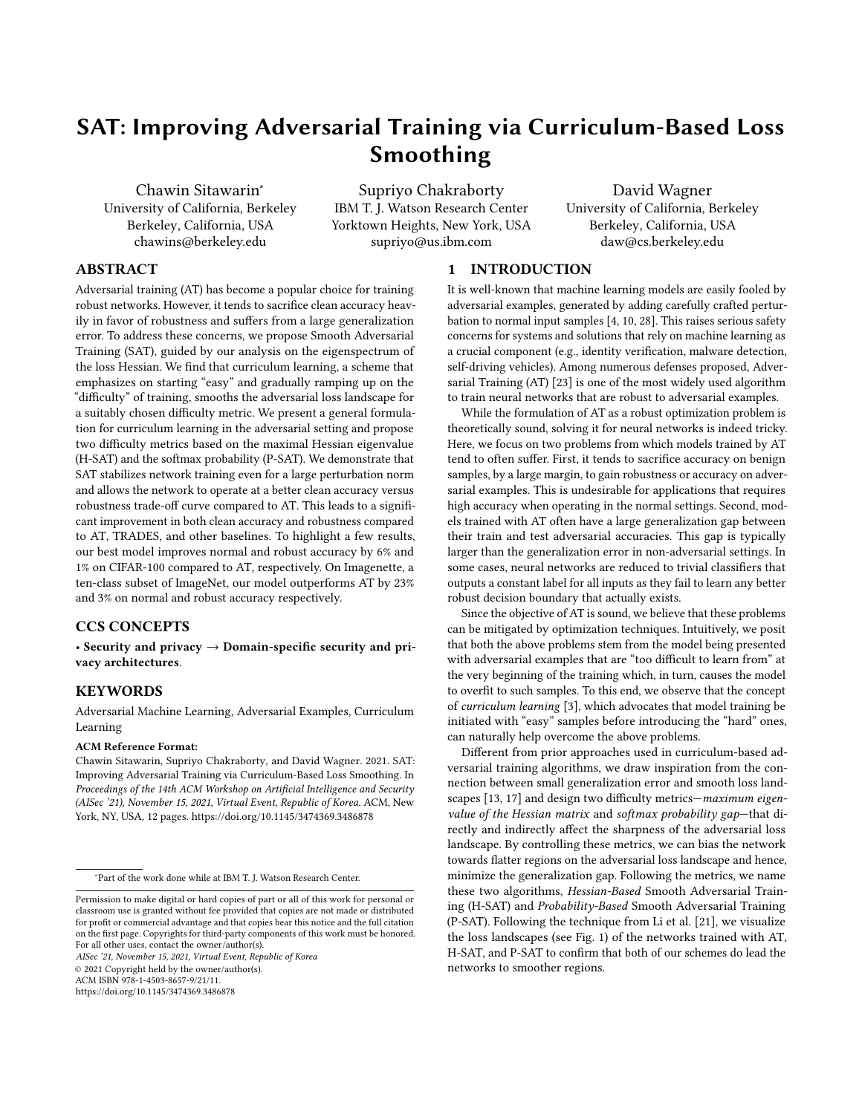successfully improved generalization in both normal and adversarial settings by biasing the training process of the networks towards regions with smooth loss landscapes [15, 34]. In this work, we achieve a similar goal but follow a unique approach via curriculum compared to that in Eqn(6). Furthermore, notice tha $\bf k_{\rm n}$ 1G∙ $\aleph$ k<sub>12º</sub> learning, which has been shown to produce a smoothening e ect ors the absolute value of the largest eigenvalue of<sup>1</sup>G•<sup>®</sup> since the objective [3].

# 3 ADVERSARIAL LOSS LANDSCAPE

### 3.1 Smoothness and Hessian

Recently, Liu et al[22] demonstrated a theoretical correlation between thesharpness fthe adversarial loss landscape and the perturbation normn. A smallern implies a smoother loss landscape. We rst brie y restate this result. In this setup, Liu et al. [22] assume that the normal loss function,  ${}^1G\setminus{}^0$ , has Lipschitz continuous gradients w.r.t.\ andGwith constants! \\ and! \<sub>G</sub> respectively. Mathematically, this can be written a SG •  $\Theta$  G 2 R<sup>3</sup> and 8\ $\cdot$ \<sub>1</sub> $\cdot$ \<sub>2</sub> 2 ,

$$
kr \t1G \t1^0 r \t1G \t2^0 K_2 \t1 \t1 K_1 \t2K_2 \t(4)
$$
  

$$
kr \t1G \t1^0 r \t1G_2 \t2^0 K_2 \t1_G K G_1 G_2 K_2 \t(5)
$$

For adversarial loss<sub>n</sub><sup>1</sup> $G \setminus \mathcal{O}$ , the analogous expression includes an extra term that depends on the perturbation nommas follows [22]:

kr<sub>\n</sub>1G\<sub>1</sub>º r<sub>\n</sub>1G\<sub>2</sub>ºk<sub>2</sub> !<sub>\\</sub> k\<sub>1</sub> \<sub>2</sub>k<sub>2</sub>, 2n!<sub>\G</sub> (6)

While Eqn.(6) reveals a relationship betweenand the smoothness of the adversarial loss (LHS of Eqn. 6), the upper bound is loose and di cult to compute. This is because Eqn6) holds globally and both! $\sqrt{\phantom{a}}$  and! $\sqrt{G}$  are also global quantities (they hold for all values of \ andG). Instead, we are only interested in the local smoothness at a particular in practice.

Prior works often quanti ed smoothness using the eigenspectrum of the Hessian matrix computed locally around a givenTo see why it makes sense to use the Hessian, note that we can upper bound the LHS in Eqn(6) by the spectral norm of the Hessian matrix using the mean value theorem. In particular, let  $= \frac{1}{2}$   $\frac{1}{1}$ and\  ${}^{1}$ C = \ 1  $\zeta$  C \, we know that 9C2  ${}^{10}$  0•1¼s.t.

$$
kr \mathrel{\mathop{\backslash} \nolimits} _{n} {}^{1}G \mathrel{\backslash} _{1} {}^{0} \ \ r \mathrel{\backslash} _{n} {}^{1}G \mathrel{\backslash} _{2} {}^{0}k_{2} \ \ r \mathrel{\backslash} _{n} {}^{1}G \mathrel{\backslash} {}^{1} \mathbb{C}^{0} \mathrel{\mathop{\backslash} _{12^0}} k_{1} \ \mathrel{\backslash} _{2} k_{2} \ (7)
$$

We usek  $\mathsf{k}_{^1\!2^{\!0}}$  to denote the spectral norm of a matrix to di erentiate it from  $\gamma$ -norm of a vector. Now obviously, if we only consider that are close to 1, simply choosing  $C= 0$  yields a good estimate of the local smoothness around.

Here, we also choose to measure the smoothness locally. We use Hessian of the adversarial loss w.h.t. which is de ned as Hessian of the normal loss evaluated at the adversarial example for a given  $\backslash$  .<sup>2</sup> Speci cally,

$$
\mathsf{Smoothness}^{\{\,\mathfrak{0}\}}\, \quad k \, \mathfrak{n}^1G \backslash^0 k_{12^0} \tag{8}
$$

$$
n^1G\setminus {^0B} \ r \mathop{\stackrel{?}{\leftarrow}} \ {}^{1}G \ ; \setminus {^0} \ for \ G \ 2 \ arg max \ 1 \ ; \setminus {^0} \qquad (9)
$$

Note, the above measure of smoothness, as suggested previously in Liu et al. [22], also depend on both and the Hessian of  $10$  w.r.t.  $\backslash$ . However, their relationship is dierently expressed as in Eq. (9) any Hessian matrix is symmetric. We will refer to this quantity as maximal Hessian eigenvalue.

### 3.2 Curriculum Learning and Smoothness

We believe that smooth loss landscapes will bene t the adversarial training process in two ways: generalization and convergence. First, as mentioned in Section 2, many previous works have shown connections between generalization and smoothness of the loss landscape. Flat minima introduce amplicit biasfor SGD on deep neural networks and has served as an explanation to the surprisingly good generalization of over-parameterized neural networks. Examples of factors that a ect this implicit bias include batch size, learning rate, and architecture such as residual connections | 17, 21, 24. Other works also aim to arti cially create such at local minima through more advanced training techniques [6, 15].

The second bene t of a smooth loss surface is a faster convergence. It is well-known that smoother loss (e.g., smaller Lipschitz gradient constant) allows for a large step size and hence, a faster convergence on both convex and non-convex problems including ERM on neural networks 18, 20. Conversely, a sharp loss surface is harmful to the training process. Liu et al 22] show that a large adversarial perturbation could increase the sharpness, i.e., make gradients large even near the minima, and hence, slow down the training.

In this work, we explore curriculum learning as a mechanism to encourage smoothness of the adversarial loss surface. The original intuition behind curriculum learning as outlined by Bengio et al [3] was to help smooth the loss landscape in the initial phase of non-convex optimization. While this intuition has found acceptance in the community, to the best of our knowledge, this notion of smoothness has not been used for curriculum learning. Additionally, curriculum learning is particularly suitable in the adversarial context because it can, directly or indirectly, manipulatewhich is a main factor a ecting the smoothness as mentioned previously (Section 3.1). In Section 4, we make this connection explicit via our proposed algorithms.

# 4 SMOOTHED ADVERSARIAL TRAINING

# 4.1 Curriculum Learning and Di culty Metric

It has been both empirically and theoretically (for a linear regression model) established that curriculum learning improves the early convergence rate as well as the nal generalization performance, especially when the task is di cult (e.g., under-parameterized models, heavy regularization) [3, 12, 32]. The main challenge therefore lies in de ning an e ective di culty metric to dictate the order of the training samples presented to the network. Luckily, the adversarial setting provides several intuitive di culty metrics that can be easily controlled through the perturbation norm,

We start by proposing a formulation of the curriculum-augmented adversarial loss, œurriculum lossdenoted by $_{\mathsf{k}\bullet\mathsf{n}}$  wherek $\,$  :  $\mathsf{R}^3$  ! R is a given di culty metric acting as an additional constraint on

 $2$ This should be taken as an approximation rather than the true Hessian for the following reason. Note that the adversarial loss<sup>1</sup> $G \setminus \circ$  is a maximal-value function of the normal loss ove G (see Eqn(2)). When the normal loss is convex, Danskin's Theorem states that we can use the substitution with to compute rst-order derivatives of an extreme-value function. However, here we are considering second-order derivatives of a non-convex function. For a more rigorous analysis, we may need a more generalized version of Danskin's Theorem for Hessian [27].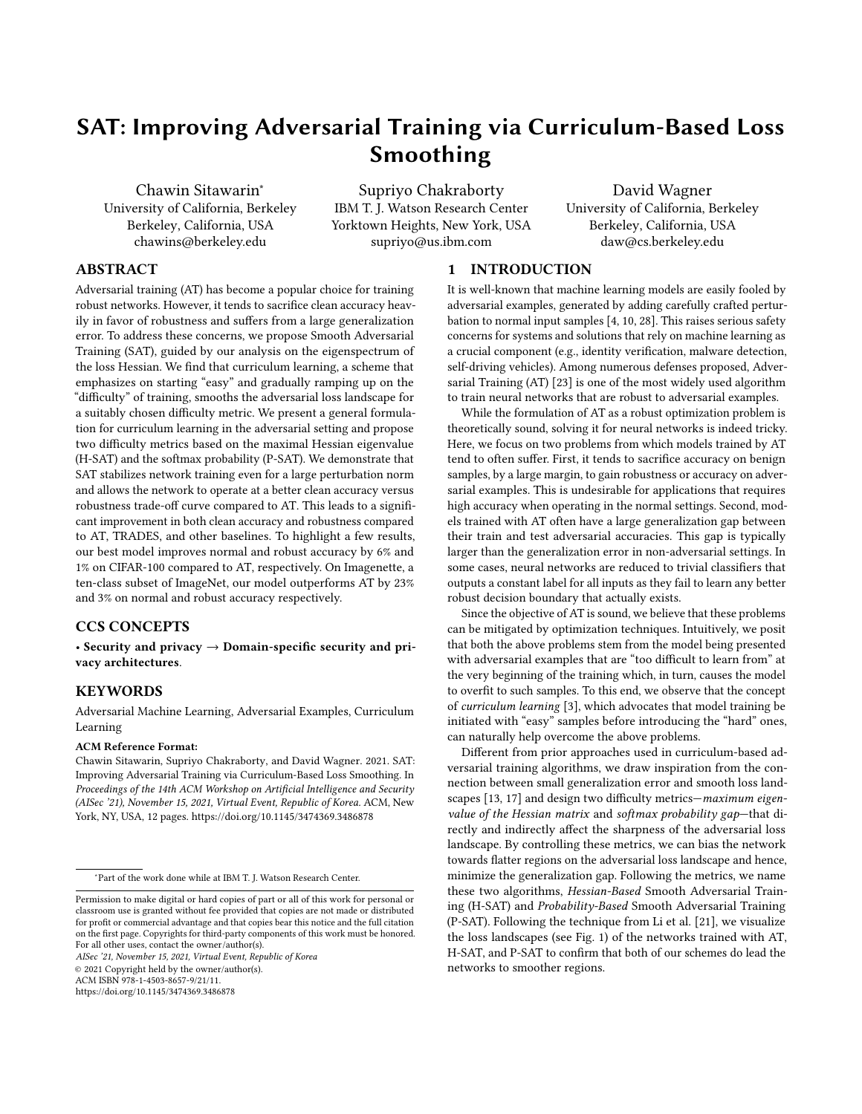the adversarial loss. We call it the urriculum constraint.

$$
k \cdot n^{1} G \cdot \stackrel{0}{=} \max_{X: kXk_1 \quad n} {^1} G, \quad X^0
$$
 (10)  
s.t.  $k {^1} G, \quad X^0$ 

This general formulation above uni es prior works on curriculuminspired adversarial training (see Table 4 in Appendix B). Without the curriculum constraint, the curriculum loss reduces to the normal adversarial loss in Eqn.1). The di culty parameter \_ should be scheduled to increase as the training progresses such that it reaches 4.3 Softmax Probability Gap its maximal value well before the end of training. This is to ensure that the curriculum loss converges to the original adversarial loss.

As mentioned in Section 3.2, we propose two di culty metrics that directly aim to smoothen the loss landscard aximal Eigenvalue of the Hessiannd Softmax Probability Gap

#### 4.2 Maximal Eigenvalue of the Hessian

To encourage smoothness, we can directly control the largest eigen-is the softmax output of a neural network. value of the Hessian throughout the training. In Section 3.1, we described the correlation between the largest eigenvalue of the Hessian and adversarial strength and explained its usage as a cur-1, means that it has been incorrectly classi ed with high con dence riculum constraint. We now use it as a di culty metric,

$$
k^{-1}G^p B k_n^{-1}G\backslash^0 k_{12^0}
$$
 (11)

for our Hessian-Based Smooth Adversarial Training AT).

This direct control on the Hessian, however, has two limitations. First, computing  $\mathbb{C}^3$  requires calculating the maximal eigenvalue of the Hessian which is very expensive to execute at every PGD step or even training step. To mitigate this problem, we devise several approximations which signicantly speed up the calculation (see Section 5). Second, the maximal Hessian eigenvalue is small not \_ with equality for \_ 1. only when the input is easy but also when it is hard, i.e., when the probability of the correct class is close to either (for easy) or0 (for di cult). This might lead to an undesirable side e ect where keeping the maximum Hessian eigenvalue small does not guarantee With the above interpretation in mind, we create a curriculum that only easy samples are presented in the early phases of training. for adversarial training by progressively increasingfrom 0 to We illustrates this e ect for logistic regression in Fig. 2a. Note, the second derivative value is small both when the logit value is large and when it is small (a large negative number), corresponding to the green and orange arrows respectively.

(a) Second derivatives (b) True-class probability

Figure 2: Relationship between logistic loss, (a) its second order derivative w.r.t. logit, and (b) the true-class (positive) probability. Small second derivative can correspond to di cult inputs (i.e., high loss, small logit, small probability, orange arrow) which is undesirable.

As shown in Fig. 2b, one way to circumvent this limitation of H-SATis to directly control the class probability of a sample instead. If the class probabilities are large, it ensures that the samples are easy, and it is likely that the second derivative (and hence, the maximal Hessian eigenvalue) is also small. Since class probability for a sample is available after every PGD step, we will also solve the rst problem simultaneously. We will explore this option for the di culty metric in the next section below.

To overcome some of the limitations of-SAT, we proposes of tmax probability gapdi erence between the true class probability and the largest softmax probability excluding the true class as the second di culty metric for our scheme. Formally, it is de ned as

$$
k\%^{1}\mathcal{G} \text{B} \max_{\mathcal{K}^{\infty}} 5^{1}\mathcal{G}_{9} \quad 5^{1}\mathcal{G}_{\infty}
$$
 (12)

where~ 2 f 1• """• gis the ground-truth label of G and  $5: \mathsf{R}^3$  !  $\mathsf{R}^2$ 

The probability gap has an intuitive interpretation and is bounded between 1 and 1. A perturbed input with a large gap, i. $\text{d}\mathbf{x}_{\mathcal{B}}$ <sup>1</sup> $\text{G}$ <sup>1</sup> by the network, suggesting that it is a hard sample. On the other hand, if  $k_{\%}^{\circ}$   $\cdot$  1, the input must be easy since the network has classi ed it correctly with high con dence. When the gap is zero, the input is right on the decision boundary of the classi er.

When used as a curriculum constraints  $\frac{1}{6}$   $\frac{1}{\sqrt{9}}$  = , softmax probability gap is also directly related to traditional adversarial training. When  $=$  1, the constraint is always satis ed for an $\alpha$  and X. Thus, the curriculum loss reduces to the normal adversarial loss. The curriculum loss is also a lower bound of the adversarial loss for any

$$
8^{\bullet} \text{ km}^1\text{G}^{\bullet} \text{C} \quad \text{n}^1\text{G} \quad \text{and} \tag{13}
$$

$$
8_{-} \t1^{\bullet} k_{\bullet n} {}^{1}G \bullet {}^{0}_{-} = n {}^{1}G^{0} \t(14)
$$

1 during the training (illustrated in Fig. 3). First, we expose the model to a weak adversary, or equivalently an easy objective, in the early stage of the training (small). Progressively, the curriculum objective becomes more di culty (large) and eventually reach the original adversarial loss when  $= 1$ . This algorithm is named Probability-Based Smooth Adversarial Train(ingSAT).

#### 4.4 Early Termination of PGD

Both the curriculum constraints are non-convex and thus it is di cult to solve Eqn.(10) directly as a constrained optimization problem. Conceptually, we can satisfy the constraint by terminating PGD as soon as the constraint is violated. This is a heuristic for most choices of the di culty metrick, but in the case oP-SAT, the early termination solves the optimization exactly for the binary class case as stated in Proposition 1 below. Fbli-SAT, the early termination is slightly more complicated and is described in Appendix B.3.

Proposition 1. In a binary-class problem, an optimum of the curriculum loss with  $\frac{1}{2}$ <sup>1</sup> as the curriculum constraint can be found by a projected gradient method that terminates when the curriculum constraint is violated.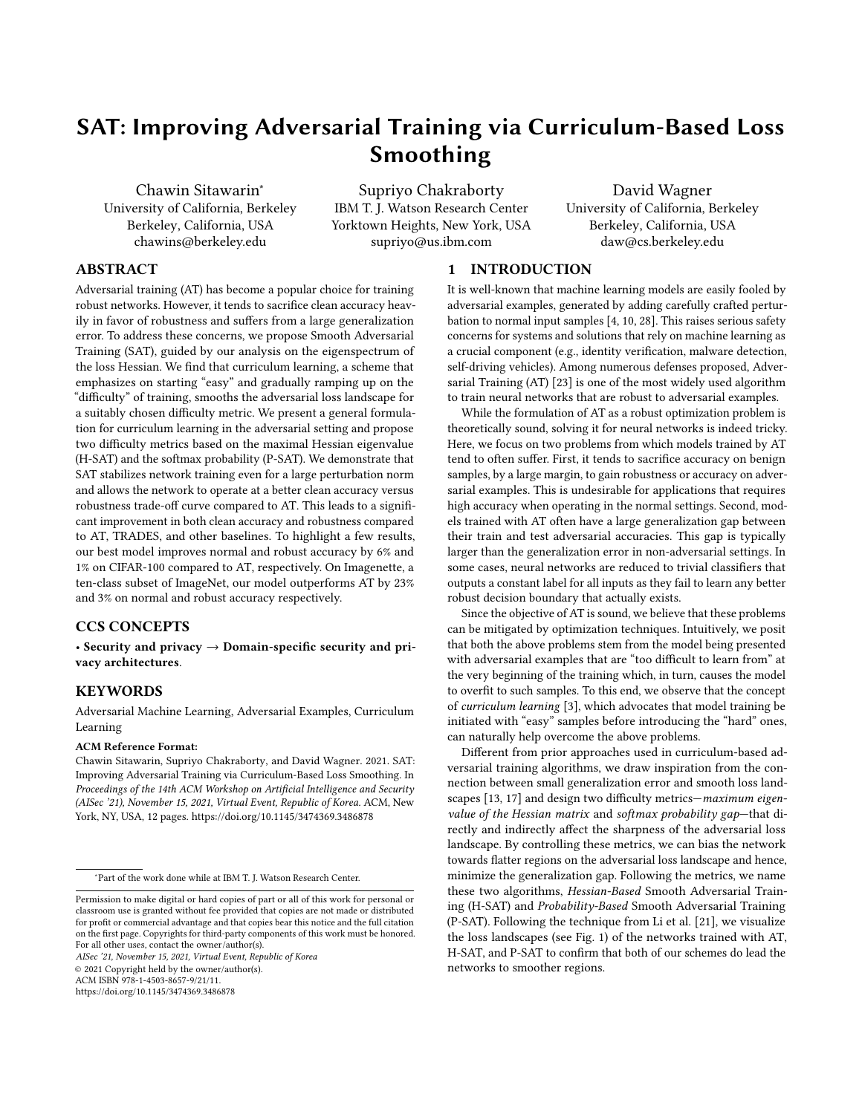Figure 3: Comparison between the perturbed samples generated by AT and P-SAT. The blue and red arrows represents PGD updates. For P-SAT, the process stops when the curriculum constraint is violated (blue cross). As \_ increases, P-SAT approaches AT.

| Algorithm 1: P-SAT                                                                                         |  |  |  |  |  |  |  |
|------------------------------------------------------------------------------------------------------------|--|--|--|--|--|--|--|
| : Training set <sup>1</sup> -•. <sup>o</sup> , neural network weights<br>Input                             |  |  |  |  |  |  |  |
| Parameters: PGD steps, step size , di culty scores                                                         |  |  |  |  |  |  |  |
| $f_{\text{max}}^C$ , projection as a function of? and n                                                    |  |  |  |  |  |  |  |
| 1 for $t = 1, , Td$ o                                                                                      |  |  |  |  |  |  |  |
| Samplef <sup>1</sup> G $\approx 0.06$ <sub>E1</sub> from <sup>1</sup> -•. <sup>0</sup> .<br>$\overline{2}$ |  |  |  |  |  |  |  |
| Initialize all X <sup>i</sup> s at random.<br>3                                                            |  |  |  |  |  |  |  |
| # Generating adversarial examples with curriculum<br>4                                                     |  |  |  |  |  |  |  |
| for $k = 1, \ldots$ Kdo<br>5                                                                               |  |  |  |  |  |  |  |
| # Mask out updates that violate the constraint<br>6                                                        |  |  |  |  |  |  |  |
| $\angle$ OB: <sub>8</sub> = 1 k <sup>1</sup> G <sub>8</sub> <sup>0</sup> <sup>C</sup><br>$\overline{7}$    |  |  |  |  |  |  |  |
| # Projection step<br>8                                                                                     |  |  |  |  |  |  |  |
| Xs 1Gs.[rg.1Gsºº Gs<br>9                                                                                   |  |  |  |  |  |  |  |
| # Update samples with the given mask<br>10                                                                 |  |  |  |  |  |  |  |
| $G_8$ $G_8$ <0B: $_8$ $X_8$<br>11                                                                          |  |  |  |  |  |  |  |
| end<br>12                                                                                                  |  |  |  |  |  |  |  |
| # Network training step<br>13                                                                              |  |  |  |  |  |  |  |
| Compute ${}^{1}G_{0}^{0}$ and update weights <sup>C</sup> .<br>14                                          |  |  |  |  |  |  |  |
| $15$ end                                                                                                   |  |  |  |  |  |  |  |
|                                                                                                            |  |  |  |  |  |  |  |

Below we will explain the intuition behind this proposition and defer the complete derivation to Appendix B.2 for improved readability. Note, the loss function (negative log-likelihood) is a monotonic function of the output class probability. This allows us to simplify the curriculum loss in Eqn. (10) as follows:

$$
k \cdot n^1 G \cdot \frac{0}{n} = \max_{X: kXk_2} \min f^{-1} G, \quad X^0 \cdot \log^{11} 1 - \log^{0} 2^0 g \tag{15}
$$

The second term of the piecewise minimization in Eqn5)is just a constant. This modi ed problem can be solved with PGD, similarly to the adversarial loss, and terminated as soon as the rst term is larger than the second which is equivalent to the curriculum constraint being violated. The curriculum loss is slightly more complicated for the multi-class case, but we propose to solve it positive with only a few very small negative eigenvalues.

approximately using the same early termination as a heuristic. Algorithm 1 summarizes the implementation of P-SAT.

# 5 COMPUTING MAXIMAL HESSIAN EIGENVALUES

In this section, we detail techniques to compute the maximal Hessian eigenvalue for  $1°$  e ciently. Computing the full Hessian matrix for neural networks with millions of parameters is computationally expensive and, in fact, unnecessary. We apply the power method [19] to compute the top eigenvalues of the Hessian directly. The method generally converges in a few iterations each of which requires two backward passes.

However, the power method is still too expensive to run for every PGD step and training iteration of the already computationintensive adversarial training. Therefore, to signi cantly minimize the computational overhead, we approximate the maximal Hessian eigenvalue using the second-order Taylor's expansion,

$$
\sqrt{11} \, z^0 = \sqrt{10} \, z^3 \, r_1 \sqrt{10} \, z^{\frac{1}{2} z^3} \, r_1^2 \sqrt{10} \, z \, O^{\frac{1}{2} k^2} \, O^{\frac{1}{2} k^2} \tag{16}
$$

combined with the fact that

$$
\frac{1}{2} r \bigg\{ 1 \ 0 \bigg\} = \max_{kZk_2 = 1} \frac{1}{2} jZ^> r \bigg\{ 1 \ 0 Z j'' \tag{17}
$$

As we are only interested in the largest positive eigenvalue, we can ignore the absolute value sign. <sup>3</sup> Letting 6 B r \ ¹\ º• kr \ ¹\ ºk<sup>2</sup> , we can now approximate the upper bound  $\overline{a}$  and the lower bound (f 1) of the maximal eigenvalue of the Hessian (by appropriately settingZ = U6for some small constartut:

$$
\frac{f_1}{\sqrt{1-\frac{2}{\sqrt{1-\frac{1}{2}}}}}
$$
 (18)

$$
\underline{f_1} = \frac{1}{U} \text{max} \quad \text{if} \quad U \otimes U \text{kr} \quad \text{if} \quad \frac{1}{V} \circ \text{kg} \tag{19}
$$

 $\sqrt[1]{\phantom{\big|}}$  U $\theta$  , Ukr  $\sqrt[1]{\phantom{\big|}}\$   $\sqrt[1]{\phantom{\big|}}$   $\theta$   $\sqrt[1]{\phantom{\big|}}\$  $f_1 = \frac{1}{11}$  $\frac{1}{\mathsf{U}}$   $\sqrt[n]{\mathsf{U}}$   $\mathsf{U}$   $\mathsf{B}$   $\sqrt[n]{\mathsf{U}}$   $\mathsf{K}_1$   $\sqrt[n]{\mathsf{V}}$   $\sqrt[n]{\mathsf{K}}_2$  $(20)$ 

Again, for improved readability, the full derivation and the implementation considerations are provided in Appendix C.1.

Evaluating Eqn.(20)and (19)at the adversarial example  $66$ , gives us the upper and a lower bound respectively,版for $_1$ 1G $\bullet$ '<code>Pk</code>1 $_2$ o. It is also important to note that settind su ciently small makes our approximation more accurate in practice. In fact, we empirically validated that the lower bound is indeed very tight (within 15% from the true value).

# 6 EXPERIMENTS

# 6.1 Setup

We train and test the robustness of our proposed schemes as well as the baselines on four image datasets, namely MNIST, CIFAR-10, CIFAR-100, and Imagenettel a more realistic and higherdimensional dataset containing a 10-class subset of the full ImageNet samples. We use a small CNN for MNIST, Pre-activation ResNet-20 (PRN-20) and WideResNet-34-10 (WRN-34-10) for CIFAR-10/100, and ResNet-34 for Imagenette. For evaluation, we use AutoAttack [8], a novel attack based on an ensemble of four di erent

<sup>3</sup>Assuming that we are near local minima, most (if not all) eigenvalues should be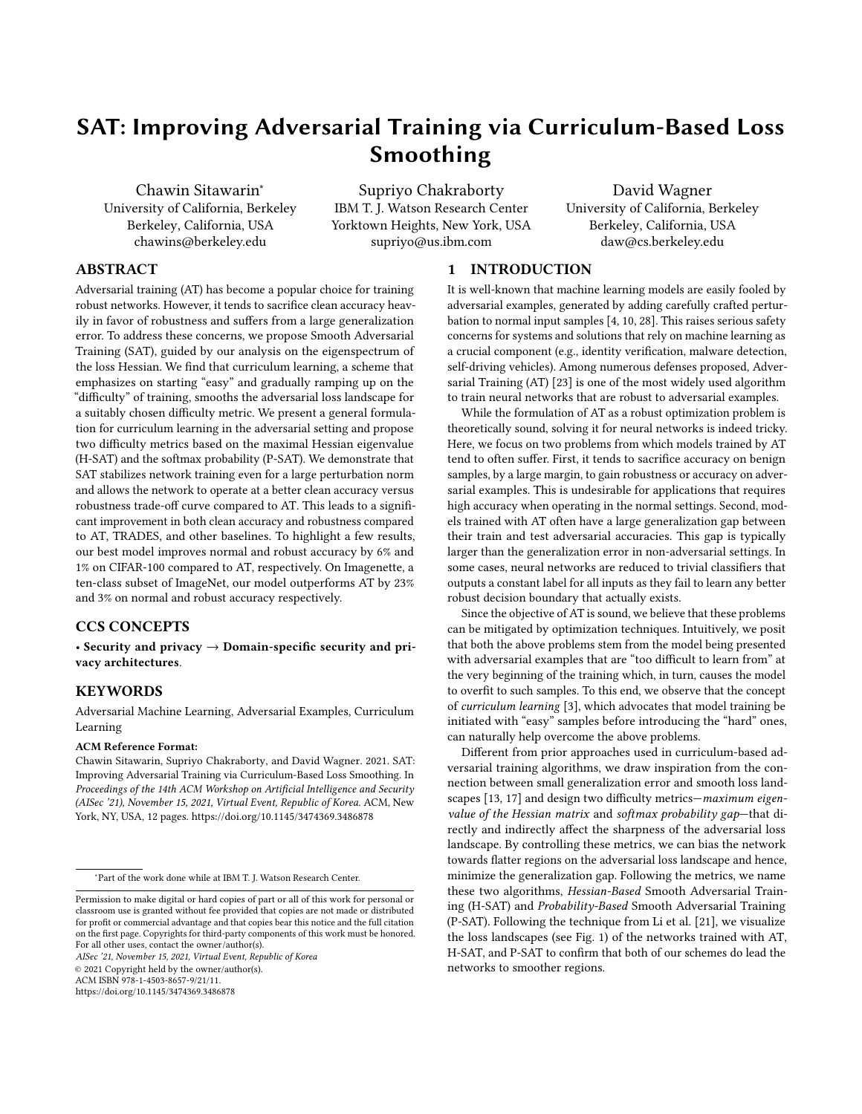Table 1: Clean and adversarial accuracy of the defenses on two models (PreAct-ResNet-20 and WideResNet-34-10) for the CIFAR-10 and CIFAR-100 datasets. Sum indicates the sum of the clean and the adversarial accuracy. The largest number in each column is shown in bold.

| Defenses        |       | CIFAR-10 (PRN-20) |              |       | CIFAR-10 (WRN-34-10) |        |       |       | CIFAR-100 (PRN-20) |               | CIFAR-100 (WRN-34-10) |       |
|-----------------|-------|-------------------|--------------|-------|----------------------|--------|-------|-------|--------------------|---------------|-----------------------|-------|
|                 | Clean | Adv               | Sum          | Clean | Adv                  | Sum    | Clean | Adv   | Sum                | Clean         | Adv                   | Sum   |
| AT [23]         | 80.67 | 45.19             | 125.86       | 86.18 | 49.72                | 135.90 | 51.76 | 21.93 |                    | 73.69         | 60.77<br>24.54        | 85.31 |
| TRADES [36]     |       | 80.50 45.77       | 126.27       | 88.08 | 45.83                | 133.91 | 54.73 | 20.17 | 74.90              | 58.27         | 23.57                 | 81.84 |
| <b>DAT [30]</b> | 81.83 | 42.97             | 124.80       | 86.72 | 45.38                | 132.10 | 54.65 | 20.85 |                    | 75.50         | 54.71<br>20.35        | 75.06 |
| CAT20 [7]       | 86.46 | 21.69             | 108.15 89.61 |       | 34.78                | 124.39 | 49.29 | 13.13 | 62.42              | 62.84         | 16.82                 | 79.66 |
| H-SAT (ours)    | 81.85 | 44.88             | 126.73       | 85.56 | 47.25                | 132.81 | 56.64 |       | 22.25              | 78.89 2564333 | 86.76                 |       |
| P-SAT (ours)    | 83.99 |                   | 44.54128.53  | 86.84 | 50.75                | 137.59 | 57.90 | 22.93 | 80.83              | 62.95 24.56   | 87.51                 |       |

Table 2: Clean and adversarial accuracy of the defenses on MNIST dataset. Adversarial accuracy is measured by AutoAttack for  $n = 0$ "3 and  $n = 0$ "45. The numbers in red indicate that the network is stuck in a sub-optimal local minimum.

| Defenses           |       | $n = 0.3$ |             |       |       |       |        |
|--------------------|-------|-----------|-------------|-------|-------|-------|--------|
|                    | Clean | Adv       | Sum         | Clean |       | Adv   | Sum    |
| AT [23]            | 98.07 | 85.47     | 183.54      |       | 11.22 | 11.22 | 22.44  |
| <b>TRADES [36]</b> | 98.98 | 90.70     | 189.68      |       | 97.36 | 0.00  | 97.36  |
| DAT [30]           | 98.93 | 92.24     | 191.17      | 97.98 |       | 65.71 | 163.69 |
| CAT20 [7]          | 99.46 | 0.00      | 99.46 99.39 |       |       | 0.00  | 99.39  |
| H-SAT (ours)       | 99.01 | 80.71     | 179.72      |       | 98.35 | 54.10 | 152.45 |
| P-SAT (ours)       | 99.16 | 92.00     | 191.16      |       | 97.87 | 58.50 | 156.37 |

attacks that are collectively stronger than PGD and capable of avoiding gradient obfuscation issue][ We compare oulH-SAT and P-SAT to four baselines: AT, DAT, CAT20, and TRADESr more details on the setup, see Appendix A.

#### 6.2 Results

First, we compare the defenses in terms of their robustness, accuracy, and a combination of the two. We report the sum of the clean and the adversarial accuracy as a single metric to represent the robustness-accuracy trade-o. We do not argue that it is the only correct (or the best) metric but rather a simple one among many other options (e.g., a weighted sum or a non-linear function). We highlight higher performance gains of our schemes for more di cult tasks and show that they guide the networks towards smoother loss landscapes and improved local minima compared to AT.

6.2.1 Comparing clean and adversarial accurac MNIST (shown in Table 2), withn of 0"3, both the clean and the adversarial accuracy, fall in the same range, for all defenses except for CAT20. Our P-SAThas very similar accuracies to DAT and outperforms the rest of the baselines. CAT20 experiences gradient obfuscation [ resulting in an over-estimated adversarial accuracy against PGD attack. However, the true robustness is very low as revealed by

the stronger AutoAttack. This issue persists on CAT20 for all the datasets we tested and is likely caused by their label smoothing.

For  $n = 0$ "45, the dierence becomes signi cant. Apart from H-SAT, P-SAT, and DAT, none of the other defenses are robust, having adversarial accuracy of10%or lower. The clean and the adversarial accuracy of AT are the same and are close to a random guess because it outputs the same logit values for every input. This phenomenon happens when the training gets stuck in a sub-optimal local minimum where the network nds an easy way out and resorts to learning a trivial solution. Changing the optimizer, the learning rate, or the random seed can sometimes mitigate the problem, but we found that no combination of these changes allowed AT to e ectively train on MNIST withn 0"35. It is likely caused by the non-smooth loss landscape which is ampli ed by a large value ofn. Importantly, the fact that only curriculum-based adversarial training methods H-SAT, P-SAT, and DAT) works in this case suggests that they help smoothen the loss surface.

In Table 1, our scheme is more robust than all other defenses on both PRN-20 and WRN-34-10 for CIFAR-10 and CIFAR-100 datasets with an exception of PRN-20 on CIFAR-10 where TRADES is the most robustP-SATalso has the highest sum of clean and adversarial accuracy in all cases. CAT20 generally has slightly higher clean accuracy than the other models, but it is the least robust by a large margin due to the false robustness issue previously mentioned. We note that on most settings, AT is a very strong baseline. It has roughly the same performance as TRADES and outperforms the other curriculum-based schemes in many experiments. This may seem surprising, but it is also observed by Rice e[25] and Gowal et al [11] that when the training is stopped early to prevent over tting (as in our experiments), AT performs as well as other more complicated defenses.

As expectedP-SAToutperformsH-SAT in most settings. This is likely due to the two limitations we mentioned in Section 4.2:  $(1)$  additional approximations introduced td-SAT for practical consideration as well as (2) the fact that the Hessian eigenvalue does not always correspond to di culty. WhileP-SATcontrols the smoothness in a less direct manner, it does not su er from these two issues. Consequently, it is computationally cheaper and also performs slightly better.

6.2.2 Larger Improvement with More Di icult Tas®s. CIFAR-10 with n = 10•255and24•255(Table 3), our schemes have higher clean accuracy compared to AT and higher adversarial accuracy than

 $4$ We do not include the results on Cai et. $45$ ] becaus $\emph{e}$ -scheduling has been shown to perform worse than DAT. The scheme uses a non-di erentiable component which makes evaluation more complicated and not comparable to the other baselines. We also found that it su ers from gradient obfuscation [1].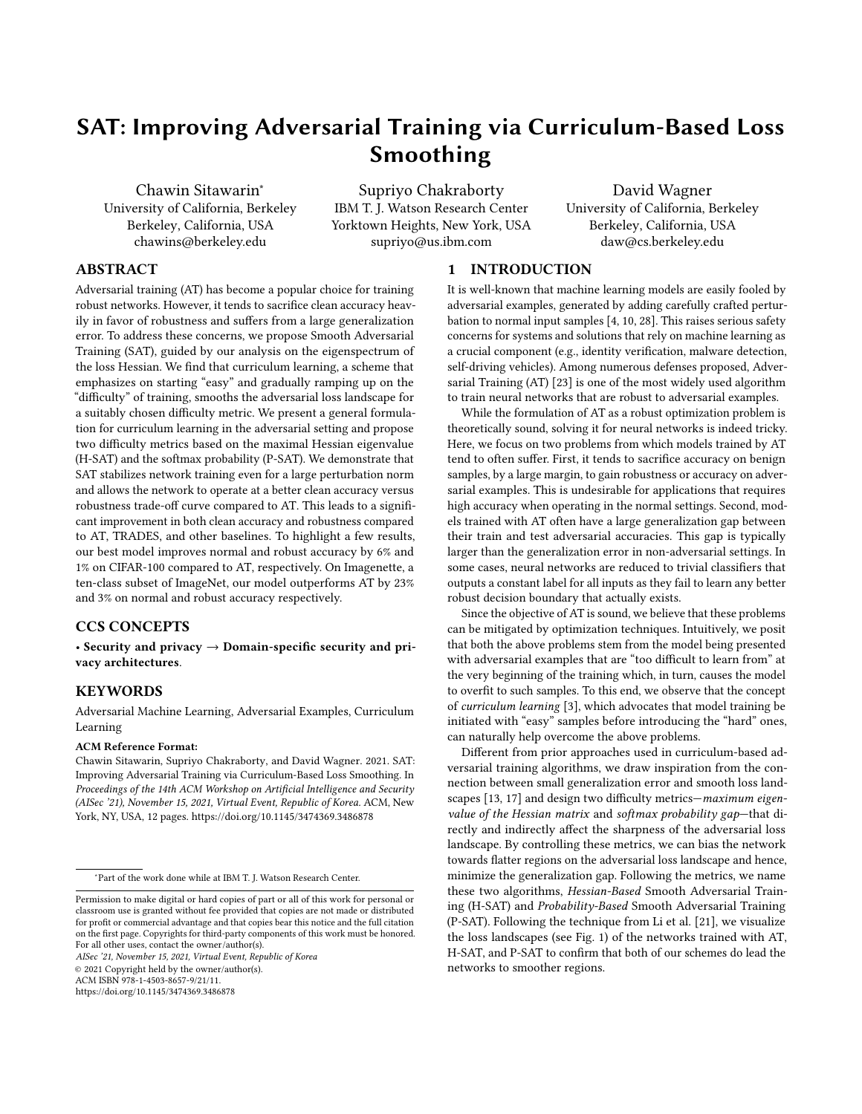Table 3: Clean and adversarial accuracy of the defenses on CIFAR-10 and Imagenette datasets trained on PreAct-ResNet-20 and ResNet-34 respectively. Here, we use a larger perturbation norm n of 10 255 and 24 255.

|                              |                |                     | CIFAR-10    |                |             |                      |                | Imagenette        |                  |                      |                     |                |
|------------------------------|----------------|---------------------|-------------|----------------|-------------|----------------------|----------------|-------------------|------------------|----------------------|---------------------|----------------|
| Defenses                     |                | $n = 10255$         |             |                | $n = 24255$ |                      |                | $n = 10255$       |                  | $n = 24255$          |                     |                |
|                              | Clean          | Adv                 | Sum         | Clean          | Adv         | Sum                  | Clean          | Adv               | Sum              | Clean                | Adv                 | Sum            |
| AT [23]                      | 63.66 23.78    |                     | 87.44       | 41.68 15.21    |             | 56.89                | 49.10          | 28.00             | 77.10            | 42.55                | 21.05               | 63.60          |
| TRADES [36]                  | 68.70          | 17.20               | 85.90 58.83 |                | 5.74        | 64.57 78.05          |                | 8.90              | 86.95 68.50      |                      | 1.90<br>70.40       |                |
| DAT [30]                     | 57.28          | 18.94               | 76.22       | 31.21          | 14.36       |                      | 45.57          | 66.20             | 30.30            | 96.50                | 52.50               | 77.00<br>24.50 |
| H-SAT (ours)<br>P-SAT (ours) | 64.27<br>66.99 | 23.19<br>22.4289.41 | 87.46       | 49.85<br>52.58 |             | 13.35<br>12.24 64.82 | 63.20<br>72.20 | 63951405<br>31.25 | 104.55<br>103.45 | 47.50 27.75<br>62.15 | 75.25<br>20.0802.15 |                |

(a) Maximal Hessian eigenvalue (b) Trace of Hessian (c) Gradient Norm

Figure 4: (CIFAR-10) Plots of three quantities typically used to measure the smoothness of the loss landscape of neural networks. Each is calculated exactly at each epoch during the training for the same subset of randomly chosen training samples.

TRADES. The di erence has increased compared to the experiments AT comes in last. For the gradient norm, only-SAT and P-SAT with  $n = 8$ •255. The sum of the two accuracies  $67 - SAT$ also continues to beat that of the other defenses. In the same table, consistent with the visualization in Fig. 1 and helps explain why the benet of our scheme is even more prominent on the more di cult and realistic classi cation task on Imagenette dataset. On this datasetH-SAT and P-SAT outperform the baselines (we omit CAT20 since it is beaten by the other baselines) by a large margin, the last 20 epochs of training. On CIFAR-10 with= 8•255 the even larger than the results on CIFAR-10/100.

The improvement grows larger with an increase in the value of n. This is because whemis small, the early termination of PGD is not necessary, and the curriculum does not play a big role. Hence, P-SATruns are very similar to those of AT. Alternatively, this also agrees with the observation made by Bengio et al and Weinshall et al. [32] that curriculum learning contributes more when the task is more di cult. A larger perturbation norm means a stronger

6.2.3 Smoother Loss Landscalde.empirically con rm that our schemes, both-SAT and P-SAT, increase smoothness of the adversarial loss landscape. To measure smoothness, we plot in Fig. 4 the maximal Hessian eigenvalue, trace of the Hessian, and norm during training. There is a signi cant change in the trend of the three quantities at epoch 40 which is where the learning rate is reduced from 0.05 to 0.005. SGD almost converges to a local minima ACKNOWLEDGMENTS at this point, i.e., the loss no longer changes signicantly. Prior to epoch 40, all three quantities behave erratically and vary abruptly.

However, after epoch 40,H-SATandP-SATconsistently reach smoother local minima. Speci cally, P-SAThas the smallest eigenvalue and trace of the Hessiahl-SAT is the second smallest while

switch place, but the general trend remains the same. This plot is H-SAT and especially P-SAT perform better than the baselines.

We also measure the generalization gap by computing the difference between training and testing adversarial accuracies over gaps are2"42 0"18, 2"08 0"21, and2"33 0"24for AT, H-SAT, and P-SAT, respectively, where the error denotes a 95%-con dence interval. The ordering of the generalization gaps is again consistent with that of spectral norm and trace of the Hessian in Fig. 4(a), (b).

# 7 CONCLUSION

adversary and a higher adversarial loss, representing a harder task. analysis on diculty measures that could guide the model training of the gradients on the adversarial examples generated by PGD TRADES, as well as other curriculum-inspired defenses on both We proposed a curriculum-based formulation of adversarial training. Keeping the optimization objective unmodi ed, we focused our to smooth regions of the loss landscape, improving generalization. Towards this end, we proposed-SAT and P-SAT, robust training algorithms that achieved high clean accuracy and a small generalization gap, addressing the two key problems of AT. Using extensive evaluation, we showed that H-SAT and P-SAT outperforms AT, clean and adversarial accuracies in most of the settings.

Part of the work done at IBM research was sponsored by the Combat Capabilities Development Command Army Research Laboratory and was accomplished under Cooperative Agreement Number W911NF-13-2-0045 (ARL Cyber Security CRA). The views and conclusions contained in this document are those of the authors and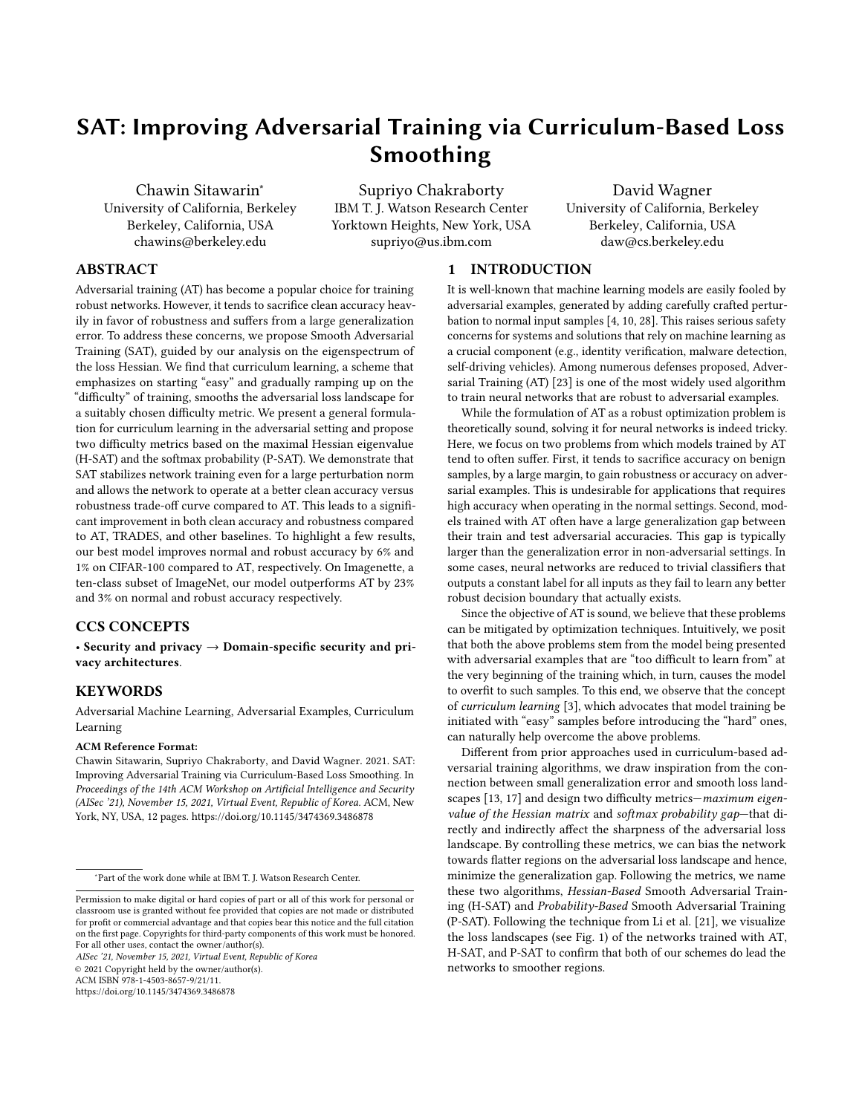should not be interpreted as representing the o cial policies, either expressed or implied, of the Combat Capabilities Development Command Army Research Laboratory or the U.S. Government. The U.S. Government is authorized to reproduce and distribute reprints for Government purposes not withstanding any copyright notation here on.

The work done at UC Berkeley was supported by the Hewlett Foundation through the Center for Long-Term Cybersecurity and by generous gifts from Open Philanthropy and Google Cloud Research Credits program with the award GCP19980904.

#### REFERENCES

- [1] Anish Athalye, Nicholas Carlini, and David Wagner. 2018. Obfuscated Gradients Give a False Sense of Security: Circumventing Defenses to Adversarial Examples. [22] In Proceedings of the 35th International Conference on Machine Learning (Proceedings of Machine Learning Research, Volle 0) ifer Dy and Andreas Krause (Eds.). PMLR, Stockholmsmässan, Stockholm Sweden, 274283.
- [2] Yogesh Balaji, Tom Goldstein, and Judy Homan. 2019. Instance Adaptive Adversarial Training: Improved Accuracy Tradeo s in Neural NetarXiv:1910.08051 [cs, stat](Oct. 2019). arXiv:1910.08051 [cs, stat]
- [3] Yoshua Bengio, Jérôme Louradour, Ronan Collobert, and Jason Weston. 2009. Curriculum Learning. InProceedings of the 26th Annual International Conference on Machine Learning - ICML '08CM Press, Montreal, Quebec, Canada, 18. https://doi.org/10.1145/1553374.1553380
- [4] Battista Biggio, Igino Corona, Davide Maiorca, Blaine Nelson, Nedim 'rndi¢, Pavel Laskov, Giorgio Giacinto, and Fabio Roli. 2013. Evasion Attacks against Machine Learning at Test Time. IMachine Learning and Knowledge Discovery in DatabasesHendrik Blockeel, Kristian Kersting, Siegfried Nijssen, and Filip šelezný (Eds.). Springer Berlin Heidelberg, Berlin, Heidelberg, 387402.
- [5] Qi-Zhi Cai, Chang Liu, and Dawn Song. 2018. Curriculum Adversarial Training. In Proceedings of the Twenty-Seventh International Joint Conference on Arti cial Intelligence, IJCAI-18 hternational Joint Conferences on Articial Intelligence Organization, 37403747. https://doi.org/10.24963/ijcai.2018/520
- [6] Pratik Chaudhari, Anna Choromanska, Stefano Soatto, Yann LeCun, Carlo Baldassi, Christian Borgs, Jennifer Chayes, Levent Sagun, and Riccardo Zecchina. 2017. Entropy-SGD: Biasing Gradient Descent into Wide Valleyts. International Conference on Learning Representations, ICLR 2017 - Conference Track
- Proceeding(2017), 1 19.<br>[7] Minhao Cheng, Qi Lei, Pin-Yu Chen, Inderjit Dhillon, and Cho-Jui Hsieh. 2020. CAT: Customized Adversarial Training for Improved Robustness. arXiv:2002.06789 [cs, st Heb. 2020). arXiv:2002.06789 [cs, stat]
- [8] Francesco Croce and Matthias Hein. 2020. Reliable Evaluation of Adversarial [30] Robustness with an Ensemble of Diverse Parameter-Free Attacks. directings of the 37th International Conference on Machine Learning (Proceedings of Machine Learning Research, Vol. 1199 I Daumé III and Aarti Singh (Eds.). PMLR, 2206 2216.
- [9] Gavin Weiguang Ding, Yash Sharma, Kry Yik Chau Lui, and Ruitong Huang. 2020. [31] MMA Training: Direct Input Space Margin Maximization through Adversarial Training. In International Conference on Learning Representations
- [10] Ian Goodfellow, Jonathon Shlens, and Christian Szegedy. 2015. Explaining and Harnessing Adversarial Examples. International Conference on Learning Representations.
- [11] Sven Gowal, Chongli Qin, Jonathan Uesato, Timothy Mann, and Pushmeet Kohli. 2021. Uncovering the Limits of Adversarial Training against Norm-Bounded Adversarial ExamplesarXiv:2010.03593 [cs, statlarch 2021). arXiv:2010.03593 [cs, stat]
- [12] Guy Hacohen and Daphna Weinshall. 2019. On the Power of Curriculum Learning in Training Deep Networks. InProceedings of the 36th International Conference on [35] Machine Learning (Proceedings of Machine Learning Research, Kaln@7/ka Chaudhuri and Ruslan Salakhutdinov (Eds.). PMLR, 25352544.
- [13] Sepp Hochreiter and Jürgen Schmidhuber. 1997. Flat Minitearal Computation 9, 1 (1997), 142.
- [14] Jeremy Howard. 2021. Fastai/Imagenette. fast.ai.
- [15] Pavel Izmailov, Dmitrii Podoprikhin, Timur Garipov, Dmitry Vetrov, and Andrew Gordon Wilson. 2018. Averaging weights leads to wider optima and better generalization. In34th Conference on Uncertainty in Arti cial Intelligence 2018, UAI 2018 (34th Conference on Uncertainty in Arti cial Intelligence 2018, UAI 2018) Ricardo Silva, Amir Globerson, and Amir Globerson (Eds.). Association For Uncertainty in Arti cial Intelligence (AUAI), 876 885.
- [16] Stanisªaw Jastrz¦bski, Zachary Kenton, Devansh Arpit, Nicolas Ballas, Asja Fischer, Yoshua Bengio, and Amos Storkey. 2018. Three Factors In uencing Minima in SGD.arXiv:1711.04623 [cs, stalept. 2018). arXiv:1711.04623 [cs, stat]
- [17] Nitish Shirish Keskar, Dheevatsa Mudigere, Jorge Nocedal, Mikhail Smelyanskiy, and Ping Tak Peter Tang. 2017. On Large-Batch Training for Deep Learning: Generalization Gap and Sharp MinimarXiv:1609.04836 [cs, mathbble 2017). arXiv:1609.04836 [cs, math]
- Koulik Khamaru and Martin J. Wainwright. 2019. Convergence Guarantees for a Class of Non-Convex and Non-Smooth Optimization Problemsurnal of Machine Learning Resea@th, 154 (2019), 152.
- [19] Yann LeCun, Patrice Y. Simard, and Barak Pearlmutter. 1992. Automatic Learning Rate Maximization by On-Line Estimation of the Hessian's Eigenvectors. In Proceedings of the 5th International Conference on Neural Information Processing Systems (NIPS'920Jorgan Kaufmann Publishers Inc., San Francisco, CA, USA, 156163.
- [20] Jason D. Lee, Max Simchowitz, Michael I. Jordan, and Benjamin Recht. 2016. Gradient Descent Only Converges to Minimizers. 20th Annual Conference on Learning Theory (Proceedings of Machine Learning Research, Vollaly 9) eldman, Alexander Rakhlin, and Ohad Shamir (Eds.). PMLR, Columbia University, New York, New York, USA, 1246 1257.
- [21] Hao Li, Zheng Xu, Gavin Taylor, Christoph Studer, and Tom Goldstein. 2018. Visualizing the Loss Landscape of Neural Nets hnical Report. 6389 6399 pages.
- Chen Liu, Mathieu Salzmann, Tao Lin, Ryota Tomioka, and Sabine Süsstrunk. 2020. On the Loss Landscape of Adversarial Training: Identifying Challenges and How to Overcome Them. In dvances in Neural Information Processing Systems
- [23] Aleksander Madry, Aleksandar Makelov, Ludwig Schmidt, Dimitris Tsipras, and Adrian Vladu. 2018. Towards Deep Learning Models Resistant to Adversarial Attacks. InInternational Conference on Learning Representations .
- Rotem Mulayo and Tomer Michaeli. 2020. Unique Properties of Flat Minima in Deep Networks. IrProceedings of the 37th International Conference on Machine Learning (Proceedings of Machine Learning Research, VdHal Daumé III and Aarti Singh (Eds.). PMLR, 7108 7118.
- [25] Leslie Rice, Eric Wong, and Zico Kolter. 2020. Over tting in Adversarially Robust Deep Learning. InProceedings of the 37th International Conference on Machine Learning (Proceedings of Machine Learning Research, Vollal Daumé III and Aarti Singh (Eds.). PMLR, 8093 8104.
- [26] Ali Shafahi, Mahyar Najibi, Mohammad Amin Ghiasi, Zheng Xu, John Dickerson, Christoph Studer, Larry S Davis, Gavin Taylor, and Tom Goldstein. 2019. Adversarial Training for Free!. InAdvances in Neural Information Processing Systems H. Wallach, H. Larochelle, A. Beygelzimer, F. dAlché-Buc, E. Fox, and R. Garnett (Eds.), Vol. 32. Curran Associates, Inc.
- [27] Alexander Shapiro. 1985. Second-Order Derivatives of Extremal-Value Functions and Optimality Conditions for Semi-In nite ProgramsMathematics of Operations Research0, 2 (1985), 207 219.
- [28] Christian Szegedy, Wojciech Zaremba, Ilya Sutskever, Joan Bruna, Dumitru Erhan, Ian Goodfellow, and Rob Fergus. 2014. Intriguing Properties of Neural Networks. In International Conference on Learning Representations
- [29] Fei Wang, Mengqing Jiang, Chen Qian, Shuo Yang, Cheng Li, Honggang Zhang, Xiaogang Wang, and Xiaoou Tang. 2017. Residual Attention Network for Image Classi cation.arXiv:1704.06904 [doptil 2017). arXiv:1704.06904 [cs]
	- Yisen Wang, Xingjun Ma, James Bailey, Jinfeng Yi, Bowen Zhou, and Quanquan Gu. 2019. On the Convergence and Robustness of Adversarial Training. In Proceedings of the 36th International Conference on Machine Learning (Proceedings of Machine Learning Research, Vol. 97) like Chaudhuri and Ruslan Salakhutdinov (Eds.). PMLR, Long Beach, California, USA, 6586 6595.
- Yisen Wang, Difan Zou, Jinfeng Yi, James Bailey, Xingjun Ma, and Quanquan Gu. 2020. Improving Adversarial Robustness Requires Revisiting Misclassied Examples. Inhternational Conference on Learning Representations
- Daphna Weinshall, Gad Cohen, and Dan Amir. 2008 urriculum Learning by Transfer Learning: Theory and Experiments with Deep Netwerks mical Report.
- Eric Wong, Leslie Rice, and J. Zico Kolter. 2020. Fast Is Better than Free: Revisiting Adversarial Training. InInternational Conference on Learning Representations
- [34] Dongxian Wu, Shu-Tao Xia, and Yisen Wang. 2020. Adversarial Weight Perturbation Helps Robust Generalization. Indvances in Neural Information Processing SystemsH. Larochelle, M. Ranzato, R. Hadsell, M. F. Balcan, and H. Lin (Eds.), Vol. 33. Curran Associates, Inc., 2958 2969.
- Sergey Zagoruyko and Nikos Komodakis. 2017. Wide Residual Networks. arXiv:1605.07146 [dsJune 2017). arXiv:1605.07146 [cs]
- Yusen Zhan, Haitham Bou Ammar, and Matthew E. Taylor. 2016. Theoretically-Grounded Policy Advice from Multiple Teachers in Reinforcement Learning Settings with Applications to Negative TransfeldCAI International Joint Conference on Arti cial Intelligenc@016-Janua, 7540 (2016), 2315 2321. https: //doi.org/10.1038/nature14236
- Hongyang Zhang, Yaodong Yu, Jiantao Jiao, Eric P. Xing, Laurent El Ghaoui, and Michael I. Jordan. 2019. Theoretically Principled Trade-o between Robustness and Accuracy. InInternational Conference on Machine Learning
- Jingfeng Zhang, Xilie Xu, Bo Han, Gang Niu, Lizhen Cui, Masashi Sugiyama, and Mohan Kankanhalli. 2020. Attacks Which Do Not Kill Training Make Adversarial Learning Stronger. InProceedings of the 37th International Conference on Machine Learning (Proceedings of Machine Learning Research, Vollal Daumé III and Aarti Singh (Eds.). PMLR, 11278 11287.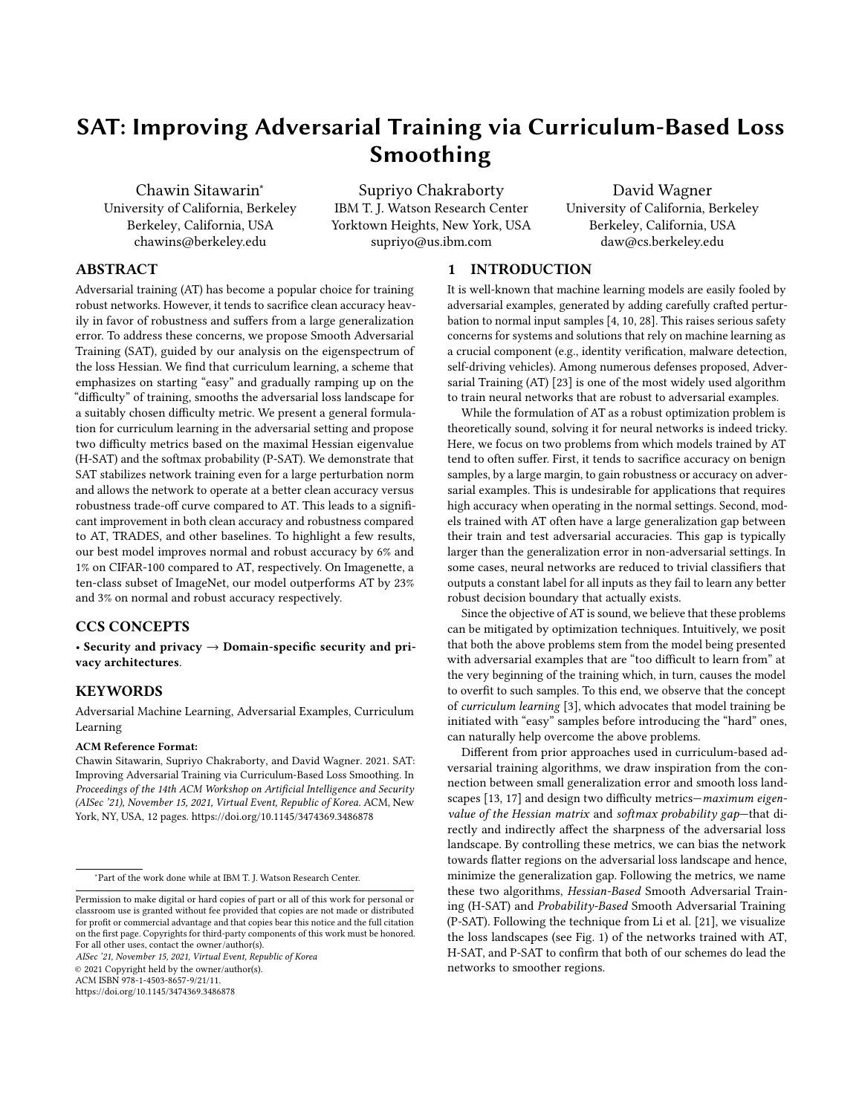We provide below detailed explanations, comparative empirical results, and theoretical analysis of our proposed approach. We begin with description of the experiments (datasets, model architecture, training parameters, and algorithm-speci c parameters) in Section A. In Section B, we detail our curriculum loss framework which uni es the prior works, and then we justify our early termination techniques forP-SAT(Proposition 1) andH-SAT. Next, in Section C, we describe our approximation of the Hessian eigenvalue and additional experiments that compare smoothness of the loss landscape of multiple training schemes. Lastly, we nish with examples of the adversarial images from the Imagenette dataset in Figure 5: Plots of multiple schedules of the di culty pa-Section D.

# A DETAILED DESCRIPTION OF THE EXPERIMENTS

The neural networks we experiment with all use ReLU as the activation function and are trained using SGD with a momentum of 0"9 and batch size of 28 We use early stopping during training, i.e., models are evaluated at the end of each epoch and only save the one with the highest adversarial validation accuracy thus far. Dataset-speci c details of the training as well as brief descriptions of the model architectures are provided below.

MNIST.All experiments use a three-layer convolution network (8x8-lter with 64 channels, 6x6-lter with 128 channels, and 5x5 lter with 128 channels respectively) with one fully-connected layer. Models are trained for 0 epochs with a batch size df28 The initial learning rate is set at  $0$ '01 and is decreased by a factor  $0$ at epochs4050 and 60. Weight decay is 10<sup>4</sup>. During training, we run PGD for40steps with a step size of 02 and use a uniform random initialization within the  $_1$ -ball of radiusn.

CIFAR-10/CIFAR-1000 use both pre-activation ResNet-220 and WideResNet-34-135, which are trained for 100e pochs with a batch size of 28 We use 10-step PGD with step size 20255and random restart. The initial learning rate is set @\*t05for ResNet and0"1 for WideResNet and is decreased by a factof 0at epochs 4060 and 80. Weight decay is set to  $10<sup>4</sup>$  for CIFAR-10 and 2 10<sup>4</sup> for CIFAR-100. Standard data augmentation (random crop, ip, scaling, and brightness jitter) is also used.

Imagenette.The hyperparameters are almost identical to those for CIFAR-10. We train ResNet-34 for 00epochs with a batch size of 128 The initial learning rate is0"1 and is decreased by a factor of 10at epochs4060 and 80. Weight decay is set to 10  $^4$ .

For TRADES, we set  $= 6$  for all of the experiments on CIFAR-10, CIFAR-100, and Imagenette, which is the value suggested in the used by the prior works. Table 4 lists the dierent curriculum conoriginal paper. For MNIST, we did a grid search on the values of V including  $V = 6$ . However, we did not nd any value of that resulted in a robust model  $at = 0$ "45on MNIST, so we only report results for  $V = 6$  in the table.

For DAT, we followed the schedule used in the original paper, i.e., the convergence score is initialized **35** and is reduced to zero

(a) Step Schedules (b) Linear Schedules

rameter \_ used by H-SAT and P-SAT. (a) displays three step schedules for MNIST, CIFAR-10, and CIFAR-100. (b) shows the linear schedules used in all datasets.

decay occurred from80to 30for MNIST,50for CIFAR-10 with  $n = 10025524255$  and 40 for Imagenette.

For CAT20, we used the original code which is provided by the authors, and we only experimented with the recommended default hyperparameters.

For H-SAT and P-SAT, we used slightly di erent schedules for the di culty parameter \_ depending on the setting (Fig. 5). For MNIST, we only used a step schedule wherein we increased steps of0"3333at epochs30, 45, and60. On PRN-20, we used a similar step schedule, i.e., is increased at epocht0, 60, and80. On WRN-34-10, we found that it is bene cial to increasen earlier epochs. So we increasedat epochs30, 40, and 50 instead. In addition to the step schedules, we also use two linear schedules, one forH-SATand the other forP-SAT. ForH-SAT, \_ starts o at 0.8 and increase to 1 by epoch 30. FoSAT, increases from 0 to 1 between epoc**80and70**.

All of the codes are written in PyTorch and run on servers with multiple Nvidia 1080ti and 1080 GPUs. On a single Nvidia 1080ti GPU with 12 cores of Intel i7-6850K CPU (3.60GHz) and 64 GB of memory,P-SATwith an MNIST model takes 2 hours to train, PRN-20 takes about 6 hours, and WRN-34-10 uses about 24 hours. P-SATis slightly faster than AT due to the early termination. On the contrary,H-SATuses approximately 50% additional computation time because of the Hessian eigenvalue computation.

# B CURRICULUM CONSTRAINTS

#### B.1 The Curriculum Loss Framework

Our formulation of the curriculum loss and in particular, the curriculum constraint generalize the curriculum learning approach straints used by each approach together with their method of choice to satisfy the corresponding constraints. CAT18 controls the di culty by setting the number of PGD steps for generating adversarial examples. DAT terminates PGD early once the convergence score is lower than the speci ed value.

in 80epochs for CIFAR-10 and CIFAR-100. For the other datasets, metric that can be scheduled manually or can be automatically we found that the adversarial accuracy improved and is more com-adjusted based on some condition. Both IAAT and CAT20 explicitly parable to the other defenses when the convergence score reacheduse sample-speci c perturbation norm, <sup>1</sup>G<sup>o</sup>, to control the di zero earlier. So we reduced the number of epochs over which the culty. In addition, both methods approximate and scheduleG The maximum perturbation norm is also an intuitive di culty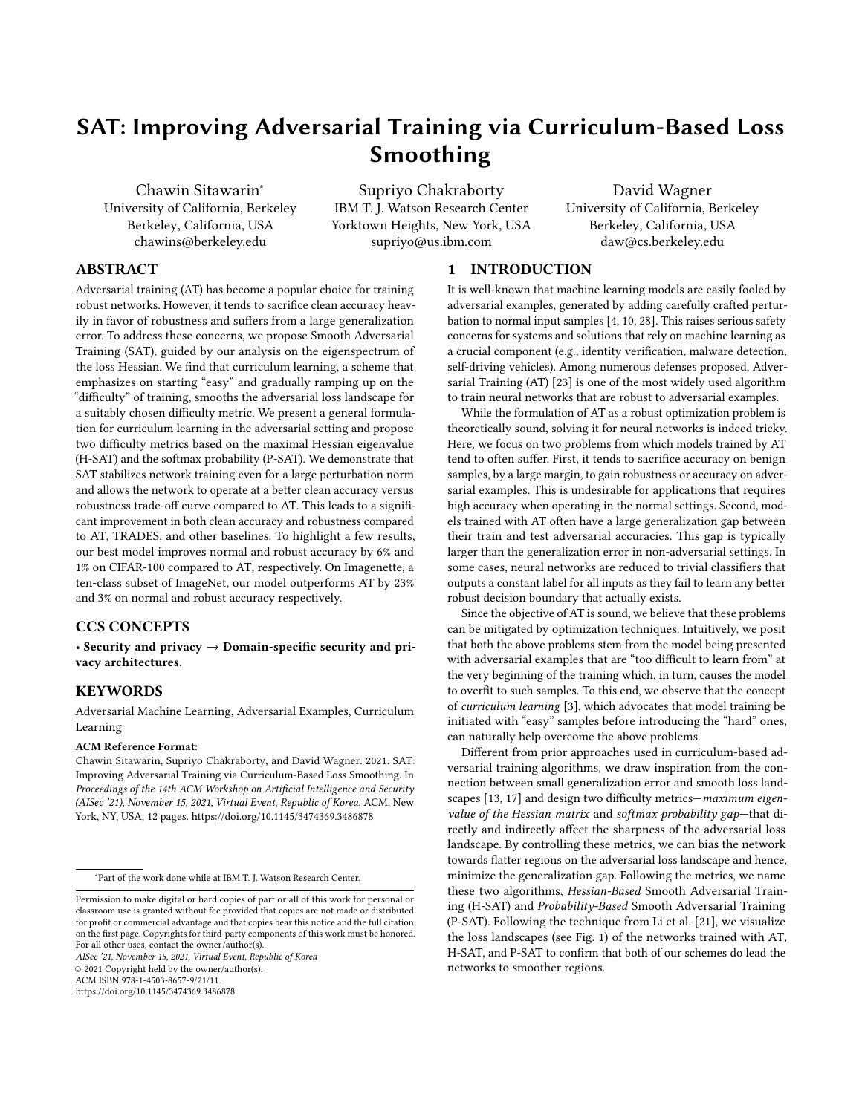Table 4: Comparison of constraints and implementations of dierent curriculum-based AT schemes unied under the form of Eqn. (10). Note that CAT18 uses the number of PGD steps as the constraint which cannot be written analytically.

| <b>Schemes</b>                                                                                                 | <b>Curriculum Constraints</b>                                                                                                                                                      | Implemented Methods                                                                                                                                                                                                         |  |  |  |
|----------------------------------------------------------------------------------------------------------------|------------------------------------------------------------------------------------------------------------------------------------------------------------------------------------|-----------------------------------------------------------------------------------------------------------------------------------------------------------------------------------------------------------------------------|--|--|--|
| Perturbation norm<br>CAT18 [5]<br>DAT [30]<br>IAAT <sub>[2]</sub><br>CAT20 [7]<br>H-SAT (ours)<br>P-SAT (ours) | $kXk_1$<br>n/a<br>hX∙r <sup>1</sup> G Xºi nkr <sup>1</sup> G Xºk <sub>1</sub><br>$k \% 1G$ , $X^0$<br>0<br>$k \% 1G$ , $X^0$<br>0<br>$k$ <sup>1</sup> G $X^0$<br>$k \% 1G$ , $X^0$ | Projection: kXk <sub>1</sub><br>Setting PGD steps<br>Early termination<br>Projection: kXk <sub>1</sub><br>n <sup>1</sup> GP<br>$n \nvert 1$ $\Theta$<br>Projection: kXk <sub>1</sub><br>Subset updates<br>Early termination |  |  |  |

Figure 6: (CIFAR-10) Mean of the perturbation norm ( n) of the adversarial examples generated by H-SAT and P-SAT. max. n is set to 8•255 and no random restart is used to emphasize the trend. Note that H-SAT and P-SAT use di erent linear schedules on \_.

based on the true curriculum constraint (which is designed to keep the perturbed sample on the decision boundary and not push it further inside the boundary of an incorrect class,  $\mathcal{S}_4$  G,  $\mathcal{X}^0$  0).

Initially,  $n \nvert q$  is set to a small value. If the perturbed sample is correctly classi ed, them  $1\textcircled{G}$  increase and adds di culty for the next epoch. Conversely, if the perturbed sample is incorrectly classi ed,n  $1\text{G}$  is decreased for IAAT or left unchanged for CAT20. If this approximation works well, them  $1\textcircled{G}$  should be close to the shortest distance from the decision boundary for each training sample. Also due to the choice of the constraint<sup>1</sup>G,  $X^0 = 0$ , CAT20 to have high accuracy but low robustness. The other difference between IAAT and CAT20 is that CAT20 also uses label smoothing which could be the cause of the gradient obfuscation that we observed in our experiments.

We claimed thatH-SAT and P-SAT implicitly and adaptively increased the e ective perturbation norm as training progressed. Intuitively, the perturbation norm increases for two reasons. First, when the di culty parameter is increased, the curriculum constraint is relaxed and thus, the samples can be perturbed more on average before the constraint is violated or before PGD is terminated. Second, as the network becomes more robust, a larger perturbation is required to generate adversarial examples with the same level of di culty. We empirically verify this statement by training networks usingH-SATandP-SATon CIFAR-10 with  $n = 8$ •255and tracking the mean of the perturbation norm for 0 batches each with 28 randomly chosen training samples (Fig. 6).

# B.2 Early Termination for P-SAT

Here, we justify the early termination of PGD as a way to solve the curriculum loss forP-SAT. First, we restate and prove Proposition 1 for the binary-class case. Then, we extend it to our heuristic for the multi-class case.

Proposition 1. In a binary-class problem, an optimum of the curriculum loss with  $\frac{1}{2}$ <sup>o</sup> as the curriculum constraint can be found by a projected gradient method that terminates when the curriculum constraint is violated.

Proof. First, we rewrite the curriculum objective such that it includes the normal loss function. We consider a xeduere so we drop the dependence onto declutter the notation.

| (21) | k%1G¸ Xº |
|------|----------|
|      |          |

$$
0 \quad \max_{9 < z} 5^{1} \text{G}, \, x^{0} \text{g} \quad 5^{1} \text{G}, \, x^{0} \text{g} \quad \text{I} \tag{22}
$$

$$
0 \t 1 \t 5^1G_x \times 5^1G_x \times 2 = (23)
$$

 $(24)$   $5^1G$ ,  $X^0$   $11$   $0$   $2$   $(24)$ 

$$
0 \tlog 5^1G, X^0 \tlog 111 \t e^2 \tOmega \t(25)
$$

$$
0 \t 1G_x X^0 \t W \t (26)
$$

$$
WB \quad \log^{11}1 \quad \rightharpoonup^{\bullet}2^{\circ} \tag{27}
$$

Now we can rewrite the optimization in Eqn. (10) as

$$
\begin{array}{rcl}\n\max & \text{IG, X} & = & \max & \text{IG, X} \\
X:KXk_7 & n & \text{S.1.} \\
\text{s.t. } & k\%^1G, X^0 & = & \text{s.t.} \\
& & & & \\
\text{s.t. } & & & \\
\text{s.t. } & & & \\
\text{S.t. } & & & \\
\text{S.t. } & & & \\
\text{S.t. } & & & \\
\text{S.t. } & & & \\
\text{S.t. } & & & \\
\text{S.t. } & & & \\
\text{S.t. } & & & \\
\text{S.t. } & & & \\
\text{S.t. } & & & \\
\text{S.t. } & & & \\
\text{S.t. } & & & \\
\text{S.t. } & & & \\
\text{S.t. } & & & \\
\text{S.t. } & & & \\
\text{S.t. } & & & \\
\text{S.t. } & & & \\
\text{S.t. } & & & \\
\text{S.t. } & & & \\
\text{S.t. } & & & \\
\text{S.t. } & & & \\
\text{S.t. } & & & \\
\text{S.t. } & & & \\
\text{S.t. } & & & \\
\text{S.t. } & & & \\
\text{S.t. } & & & \\
\text{S.t. } & & & \\
\text{S.t. } & & & \\
\text{S.t. } & & & \\
\text{S.t. } & & & \\
\text{S.t. } & & & \\
\text{S.t. } & & & \\
\text{S.t. } & & & \\
\text{S.t. } & & & \\
\text{S.t. } & & & \\
\text{S.t. } & & & \\
\text{S.t. } & & & \\
\text{S.t. } & & & \\
\text{S.t. } & & & \\
\text{S.t. } & & & \\
\text{S.t. } & & & \\
\text{S.t. } & & & \\
\text{S.t. } & & & \\
\text{S.t. } & & & \\
\text{S.t. } & & & \\
\text{S.t. } & & & \\
\text{S.t. } & & & \\
\text{S.t. } & & & \\
\text{S.t. } & & & \\
\text{S.t. } & & & \\
\text{S.t. } & & & \\
\text{S.t. } & & & \\
\text{S.t. } & & & \\
\text{S.t. } & & & \\
\text{S.t. } & & & \\
\text{S.t. } & & & \\
\text{S.t. } & & & \\
\text{S.t. } & & & \\
\text{S.t. } & & & \\
\text{S.t. } & & & \\
\text{S.t. }
$$

Now we have arrived at the modied optimization problem that only has one convex constraint on the norm of This problem can then be solved with PGD (we call it PGD, but it is a projected gradient ascent). Given a particular samp<sup>1</sup> **e** $\Omega$ , let's consider two possible cases. First,  $X$  such thatk $Xk_1$  n and  ${}^{1}G$ ,  $X^0$  W. In this case, the new problem reduces to the adversarial loss whose local optima can be found by PGD with a su cient number of iterations.

The second scenari $\Theta$ X such thatkXk<sub>1</sub> nand <sup>1</sup>G,  $X^0$  W can be solved if we can nd anyX that satisfy the two conditions. Since projected gradient methods satisfy the rst condition by default, we only have to run PGD until the second condition is satis ed. Equivalently, PGD can be terminated as soon as the curriculum constraint is violated.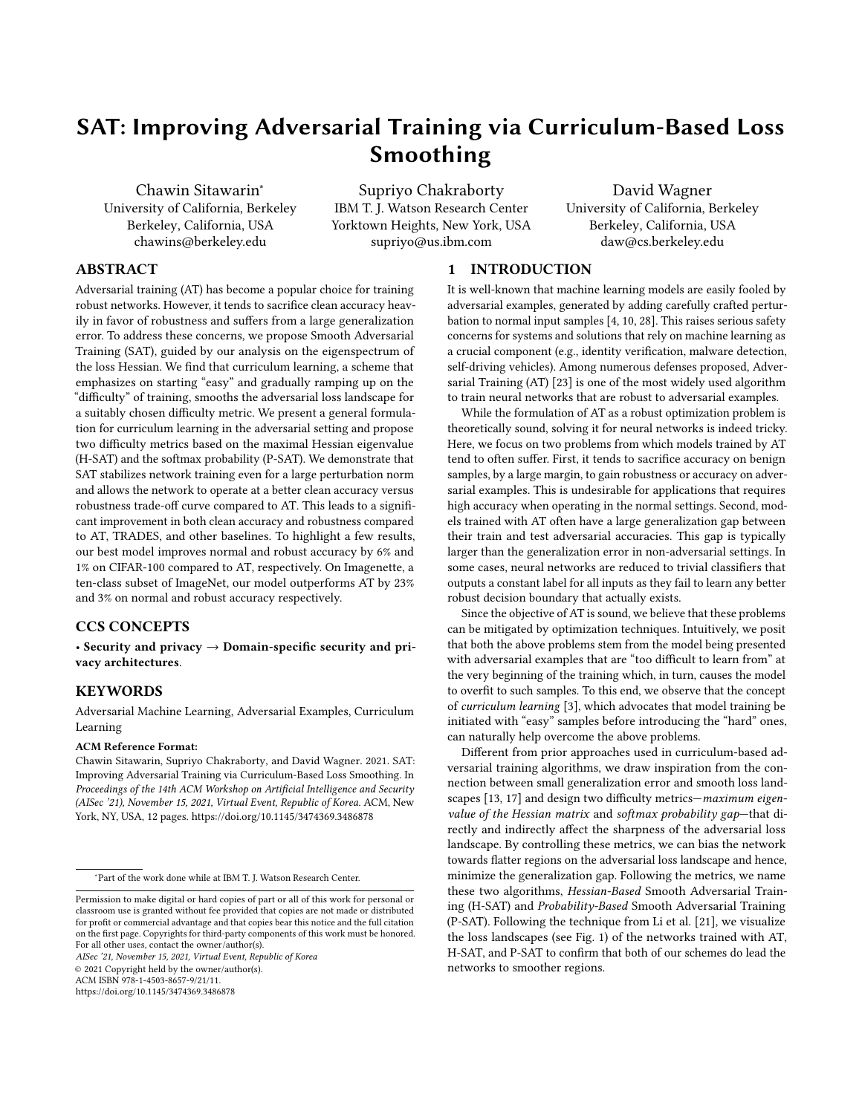For the multi-class case, Wis dependent on Xso Eqn.(10) does not reduce to a similar simple form.

 $k\%$ <sup>1</sup>G<sub>3</sub>  $\chi$ <sup>0</sup>  $\qquad$  (31)

$$
0 \quad \max_{9 < z} 5^{1} \text{G}, \, x^{0} \text{g} \quad 5^{1} \text{G}, \, x^{0} \text{g} \quad (32)
$$

$$
0 \t 5^{1}G, X^{2} \max_{S \leftarrow} S^{1}G, X^{0} \t (33)
$$

$$
0 \qquad \log 5^1G, \, X^0 \qquad \log \max_{\mathcal{K}^{\sim}} 5^1G, \, X^0 \qquad \qquad (34)
$$

$$
0 \t 1G_x \times WG_x \times P_0 \t (35)
$$

$$
WG, X \cdot {}^{0}_{-}B \quad \text{log max}_{\mathcal{K}^{\sim}} 5^1G, X^0 \quad \_ \tag{36}
$$

Note that we can assume that the RHS on line  $\mathbb{R}$ <sub>xe</sub> = 5<sup>1</sup>G<sub>3</sub>  $\mathbb{R}^9$   $\ldots$ is positive. Otherwise, the constraint is automatically satis ed and can be ignored because the LHSSG,  $X^o$ <sub>~</sub> is always non-negative. Similarly to the binary-class case, Eqn. (10) can be rewritten as:

$$
\max_{X: kXk_2 \text{ n}} \text{G}_x X^0 \tag{37}
$$

$$
\text{s.t.} \quad {}^{1}\text{G}, \, X^0 \quad \text{[38]}
$$

$$
= \max \quad {}^{1}G_{1} \times {}^{0} \tag{39}
$$

$$
X: kXk_2 \quad n \tag{2.1}
$$

$$
\text{s.t.} \quad \text{G} \quad \text{X}^{\circ} \quad \text{WG} \quad \text{X} \bullet \, \text{O}^{\circ} \tag{40}
$$

$$
= \max_{X: kXk_2 \ n} \min f^{-1}G, X^{\bullet} WG, X^{\bullet}{}^{\circ}G \tag{41}
$$

This objective is di cult to optimized in a few steps of PGD because of the piecewise min and max as well as the fact that the two terms are inversely proportional to the other. Alternatively, we propose a heuristic to approximate the objective by treating the second term as a constant and so not computing its gradients (we still update it asXchanges).

# B.3 Early Termination for H-SAT

The early termination can also be applied in this case. However, the approximation of the max eigenvalue of the Hessian vary signi cantly across models and datasets. Thus, setting a hard threshold is cumbersome and requires a lot ne-tuning. Instead, we propose the following scheme that leverages the high rank-correlation between the true and the approximated eigenvalue to circumvent the above issue of setting hard thresholds.

We choose as fraction of samples with the smallest Hessian eigenvalue from each batch to perturb in a given PGD step. For example, when  $= 0.3$ , only 30% of the samples in the batch with the smallest  $n^1G\bullet \mathcal{R}_2$  are perturbed. This method adapts to samples in the batch and is more exible than a hard threshold. Now, similarly to the probability gap<sub>1</sub> starts o with a small value and increases to1, which is equivalent to AT, at the end of training. Setting\_ = 0 is equivalent to normal training as no samples are perturbed.

# C MAXIMAL HESSIAN EIGENVALUE

### C.1 Maximal Eigenvalue Approximation

Below we outline a series of approximations for minimizing the overhead of computing the max. Hessian eigenvalue. We use the If we ignore the parallelization and compute the perturbed loss for

second-order Taylor's expansion to approximate the Hessian:

$$
\int_{-\infty}^{\infty} Z^0 = \int_{-\infty}^{\infty} Z^0 r \sqrt{10} \int_{0}^{\infty} \frac{1}{2} Z^0 r \sqrt{10} \sqrt{10} \sqrt{10} \sqrt{10} \sqrt{10} \sqrt{10} \sqrt{10} \sqrt{10} \sqrt{10} \sqrt{10} \sqrt{10} \sqrt{10} \sqrt{10} \sqrt{10} \sqrt{10} \sqrt{10} \sqrt{10} \sqrt{10} \sqrt{10} \sqrt{10} \sqrt{10} \sqrt{10} \sqrt{10} \sqrt{10} \sqrt{10} \sqrt{10} \sqrt{10} \sqrt{10} \sqrt{10} \sqrt{10} \sqrt{10} \sqrt{10} \sqrt{10} \sqrt{10} \sqrt{10} \sqrt{10} \sqrt{10} \sqrt{10} \sqrt{10} \sqrt{10} \sqrt{10} \sqrt{10} \sqrt{10} \sqrt{10} \sqrt{10} \sqrt{10} \sqrt{10} \sqrt{10} \sqrt{10} \sqrt{10} \sqrt{10} \sqrt{10} \sqrt{10} \sqrt{10} \sqrt{10} \sqrt{10} \sqrt{10} \sqrt{10} \sqrt{10} \sqrt{10} \sqrt{10} \sqrt{10} \sqrt{10} \sqrt{10} \sqrt{10} \sqrt{10} \sqrt{10} \sqrt{10} \sqrt{10} \sqrt{10} \sqrt{10} \sqrt{10} \sqrt{10} \sqrt{10} \sqrt{10} \sqrt{10} \sqrt{10} \sqrt{10} \sqrt{10} \sqrt{10} \sqrt{10} \sqrt{10} \sqrt{10} \sqrt{10} \sqrt{10} \sqrt{10} \sqrt{10} \sqrt{10} \sqrt{10} \sqrt{10} \sqrt{10} \sqrt{10} \sqrt{10} \sqrt{10} \sqrt{10} \sqrt{10} \sqrt{10} \sqrt{10} \sqrt{10} \sqrt{10} \sqrt{10} \sqrt{10} \sqrt{10} \sqrt{10} \sqrt{10} \sqrt{10} \sqrt{10} \sqrt{10} \sqrt{10} \sqrt{10} \sqrt{10} \sqrt{10} \sqrt{10} \sqrt{10} \sqrt{10} \sqrt{10} \sqrt{10
$$

Note, we can now maximize over to obtain the max. eigenvalue of the Hessian. The absolute value can be omitted because we are only concerned with the positive eigenvalues.

$$
\frac{1}{2} r \bigg|_{1}^{2} \eta \circ \bigg|_{2} = \max_{kZk_{2}=1} \frac{1}{2} Z^{2} r \bigg|_{1}^{2} \eta \circ Z \tag{43}
$$

$$
= \max_{kZk_2=1} \sqrt[1]{2} \quad Z^{\circ} \quad Z^{\circ} \quad \sqrt[1]{\circ} \quad \sqrt[1]{\circ} \quad (44)
$$

$$
\max_{kZk_2=1} \sqrt[1]{2^0} \min_{kZk_2=1} Z^2 r \sqrt[1]{0} \sqrt[1]{0}
$$
 (45)

$$
\frac{1}{U} \quad \text{11.} \quad U\Theta \quad U\text{kr} \quad \text{10.} \quad \text{11.} \tag{46}
$$

where6 is a shorthand notation  $C\!\!\!B^1\!G\backslash^o\,B$  r  $_\backprime$   $^1\!G\backslash^o\!\bullet$ kr  $_\backprime$   $^1\!G\backslash^o\!K_2.$ The rst and the second terms in Eqn46)approximate the maximization and the minimization in Eqn(45)by taking a one-step projected gradient update. We can also use a similar approximation to lower bound Eqn(44)by substitutingZ with U6and U6and take the maximum between the two:

$$
\frac{1}{2} r_1^2 \text{ in } \frac{1}{2} \text{ max} \text{ in } \frac{1}{2} \text{ max} \text{ in } \frac{1}{2} \text{ max} \text{ in } \frac{1}{2} \text{ max} \text{ in } \frac{1}{2} \text{ max} \text{ in } \frac{1}{2} \text{ max} \text{ in } \frac{1}{2} \text{ max} \text{ in } \frac{1}{2} \text{ max} \text{ in } \frac{1}{2} \text{ max} \text{ in } \frac{1}{2} \text{ max} \text{ in } \frac{1}{2} \text{ max} \text{ in } \frac{1}{2} \text{ max} \text{ in } \frac{1}{2} \text{ max} \text{ in } \frac{1}{2} \text{ max} \text{ in } \frac{1}{2} \text{ max} \text{ in } \frac{1}{2} \text{ max} \text{ in } \frac{1}{2} \text{ max} \text{ in } \frac{1}{2} \text{ max} \text{ in } \frac{1}{2} \text{ max} \text{ in } \frac{1}{2} \text{ max} \text{ in } \frac{1}{2} \text{ max} \text{ in } \frac{1}{2} \text{ max} \text{ in } \frac{1}{2} \text{ max} \text{ in } \frac{1}{2} \text{ max} \text{ in } \frac{1}{2} \text{ max} \text{ in } \frac{1}{2} \text{ max} \text{ in } \frac{1}{2} \text{ max} \text{ in } \frac{1}{2} \text{ max} \text{ in } \frac{1}{2} \text{ max} \text{ in } \frac{1}{2} \text{ max} \text{ in } \frac{1}{2} \text{ max} \text{ in } \frac{1}{2} \text{ max} \text{ in } \frac{1}{2} \text{ max} \text{ in } \frac{1}{2} \text{ max} \text{ in } \frac{1}{2} \text{ max} \text{ in } \frac{1}{2} \text{ max} \text{ in } \frac{1}{2} \text{ max} \text{ in } \frac{1}{2} \text{ max} \text{ in } \frac{1}{2} \text{ max} \text{ in } \frac{1}{2} \text{ max} \text{ in } \frac{1}{2} \text{ max} \text{ in } \frac{1}{2} \text{ max} \text{ in } \frac{1}{2} \text{ max} \text{ in } \frac{1}{2} \text{ max}
$$

Now we have arrived at the upper and the lower bounds as stated in Section 5. Evaluating Eqn(46)and (47)at the adversarial example ofG, gives us the upper and a lower bound respectively, for k <sub>n</sub>1G∙\ºk<sub>2</sub>. Choosing an appropriate value **bi**makes the Taylor's series based approximation and the maximization using a single gradient step much more accurate in practice. We choose it to be 1% of the gradient norm so the precision also automatically adapts to the current scale. Choosing much smaller is not recommended because it can blow up small numerical errors

### C.2 Implementation Consideration

Note that the smoothness analysis typically computes eigenvalue of the Hessian matrix of the loss averaged over the entire training set, but for the purpose of curriculum learning, we want to control the Hessian eigenvalue for individual samples. The former quantity can be upper bounded by the average of the latter as follows:

$$
\frac{1}{\epsilon} \frac{\hat{\sigma}}{\hat{\sigma} t} r_{\lambda}^2 n^1 \hat{g}_s \lambda^0 \frac{1}{\epsilon^2} \frac{\hat{\sigma}}{\hat{\sigma} t} k n^1 \hat{g}_s \lambda^0 k_{12^0} \qquad (48)
$$

This shows that Hessian eigenvalue can be used as a di culty metric for curriculum learning and still controls the smoothness of the loss landscape.

We have derived the lower/upper bounds of the maximal Hessian eigenvalue in Section 5 and Appendix C.1. Nonetheless, we face with some di culty for combining it with AT in practice. To enable a ne-grained sample-wise control on the di culty metric, we must approximate the Hessian eigenvalue per sample at every PGD step of AT. This is an issue in practice as the automatic di erentiation software (e.g., PyTorch) does not provide an easy way to access  $r_{\setminus}$  <sup>1</sup>G\ <sup>o</sup>, and evaluation of <sup>1</sup>G\  $\,$ , r  $\,$   $\,$  <sup>1</sup>G\ <sup>oo</sup> cannot be parallelized due to the fact that gradients are di erent for each sample